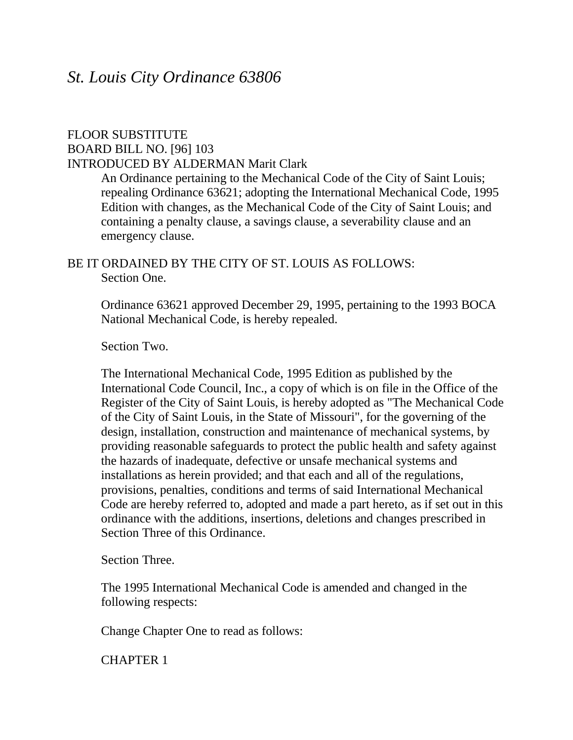# *St. Louis City Ordinance 63806*

# FLOOR SUBSTITUTE BOARD BILL NO. [96] 103 INTRODUCED BY ALDERMAN Marit Clark

An Ordinance pertaining to the Mechanical Code of the City of Saint Louis; repealing Ordinance 63621; adopting the International Mechanical Code, 1995 Edition with changes, as the Mechanical Code of the City of Saint Louis; and containing a penalty clause, a savings clause, a severability clause and an emergency clause.

### BE IT ORDAINED BY THE CITY OF ST. LOUIS AS FOLLOWS: Section One.

Ordinance 63621 approved December 29, 1995, pertaining to the 1993 BOCA National Mechanical Code, is hereby repealed.

Section Two.

The International Mechanical Code, 1995 Edition as published by the International Code Council, Inc., a copy of which is on file in the Office of the Register of the City of Saint Louis, is hereby adopted as "The Mechanical Code of the City of Saint Louis, in the State of Missouri", for the governing of the design, installation, construction and maintenance of mechanical systems, by providing reasonable safeguards to protect the public health and safety against the hazards of inadequate, defective or unsafe mechanical systems and installations as herein provided; and that each and all of the regulations, provisions, penalties, conditions and terms of said International Mechanical Code are hereby referred to, adopted and made a part hereto, as if set out in this ordinance with the additions, insertions, deletions and changes prescribed in Section Three of this Ordinance.

Section Three.

The 1995 International Mechanical Code is amended and changed in the following respects:

Change Chapter One to read as follows:

CHAPTER 1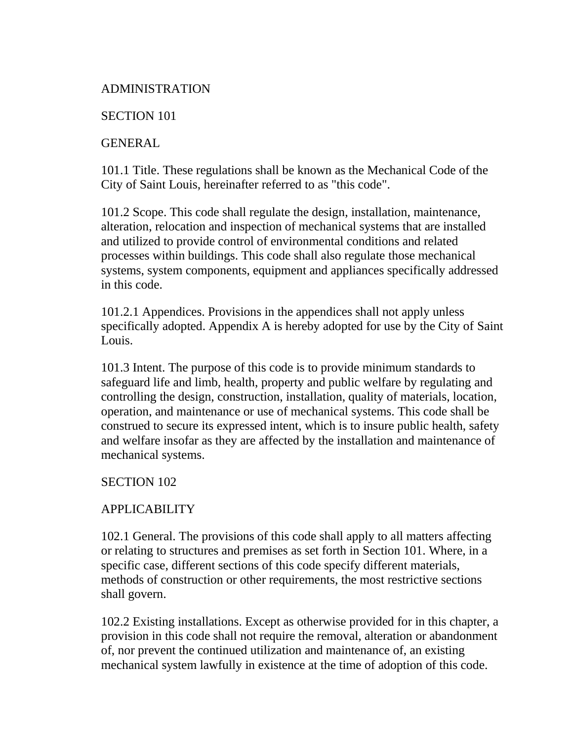### ADMINISTRATION

# SECTION 101

# GENERAL

101.1 Title. These regulations shall be known as the Mechanical Code of the City of Saint Louis, hereinafter referred to as "this code".

101.2 Scope. This code shall regulate the design, installation, maintenance, alteration, relocation and inspection of mechanical systems that are installed and utilized to provide control of environmental conditions and related processes within buildings. This code shall also regulate those mechanical systems, system components, equipment and appliances specifically addressed in this code.

101.2.1 Appendices. Provisions in the appendices shall not apply unless specifically adopted. Appendix A is hereby adopted for use by the City of Saint Louis.

101.3 Intent. The purpose of this code is to provide minimum standards to safeguard life and limb, health, property and public welfare by regulating and controlling the design, construction, installation, quality of materials, location, operation, and maintenance or use of mechanical systems. This code shall be construed to secure its expressed intent, which is to insure public health, safety and welfare insofar as they are affected by the installation and maintenance of mechanical systems.

### SECTION 102

# APPLICABILITY

102.1 General. The provisions of this code shall apply to all matters affecting or relating to structures and premises as set forth in Section 101. Where, in a specific case, different sections of this code specify different materials, methods of construction or other requirements, the most restrictive sections shall govern.

102.2 Existing installations. Except as otherwise provided for in this chapter, a provision in this code shall not require the removal, alteration or abandonment of, nor prevent the continued utilization and maintenance of, an existing mechanical system lawfully in existence at the time of adoption of this code.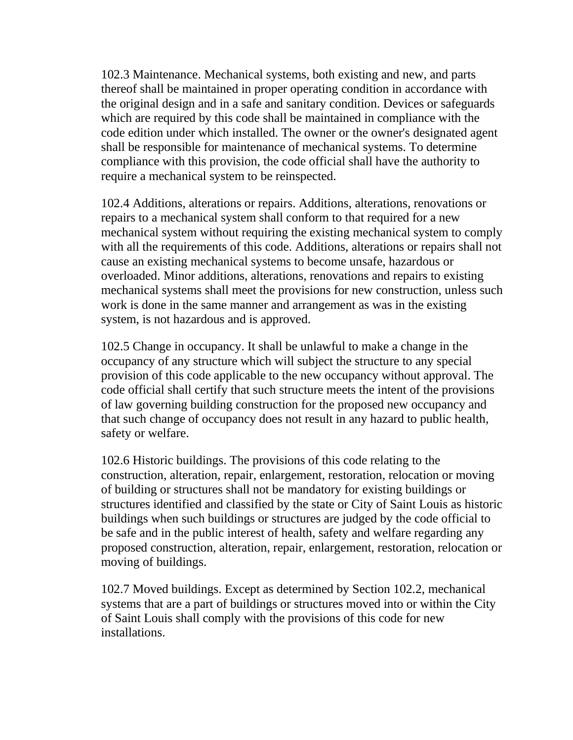102.3 Maintenance. Mechanical systems, both existing and new, and parts thereof shall be maintained in proper operating condition in accordance with the original design and in a safe and sanitary condition. Devices or safeguards which are required by this code shall be maintained in compliance with the code edition under which installed. The owner or the owner's designated agent shall be responsible for maintenance of mechanical systems. To determine compliance with this provision, the code official shall have the authority to require a mechanical system to be reinspected.

102.4 Additions, alterations or repairs. Additions, alterations, renovations or repairs to a mechanical system shall conform to that required for a new mechanical system without requiring the existing mechanical system to comply with all the requirements of this code. Additions, alterations or repairs shall not cause an existing mechanical systems to become unsafe, hazardous or overloaded. Minor additions, alterations, renovations and repairs to existing mechanical systems shall meet the provisions for new construction, unless such work is done in the same manner and arrangement as was in the existing system, is not hazardous and is approved.

102.5 Change in occupancy. It shall be unlawful to make a change in the occupancy of any structure which will subject the structure to any special provision of this code applicable to the new occupancy without approval. The code official shall certify that such structure meets the intent of the provisions of law governing building construction for the proposed new occupancy and that such change of occupancy does not result in any hazard to public health, safety or welfare.

102.6 Historic buildings. The provisions of this code relating to the construction, alteration, repair, enlargement, restoration, relocation or moving of building or structures shall not be mandatory for existing buildings or structures identified and classified by the state or City of Saint Louis as historic buildings when such buildings or structures are judged by the code official to be safe and in the public interest of health, safety and welfare regarding any proposed construction, alteration, repair, enlargement, restoration, relocation or moving of buildings.

102.7 Moved buildings. Except as determined by Section 102.2, mechanical systems that are a part of buildings or structures moved into or within the City of Saint Louis shall comply with the provisions of this code for new installations.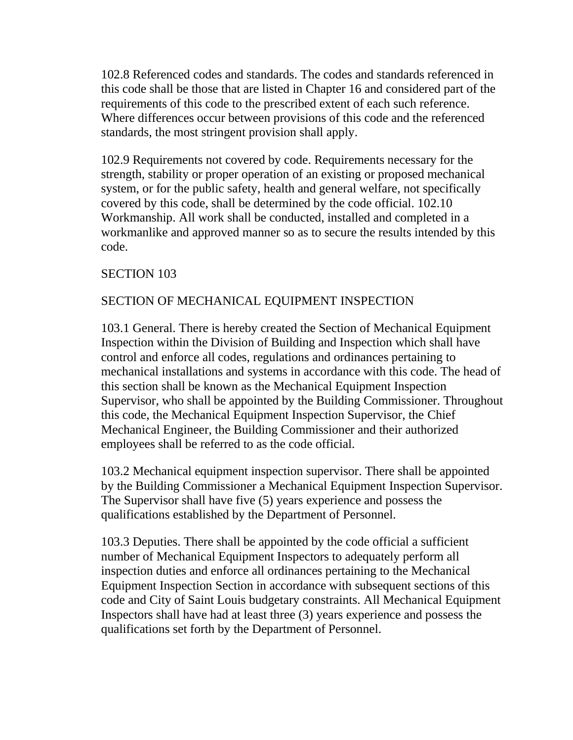102.8 Referenced codes and standards. The codes and standards referenced in this code shall be those that are listed in Chapter 16 and considered part of the requirements of this code to the prescribed extent of each such reference. Where differences occur between provisions of this code and the referenced standards, the most stringent provision shall apply.

102.9 Requirements not covered by code. Requirements necessary for the strength, stability or proper operation of an existing or proposed mechanical system, or for the public safety, health and general welfare, not specifically covered by this code, shall be determined by the code official. 102.10 Workmanship. All work shall be conducted, installed and completed in a workmanlike and approved manner so as to secure the results intended by this code.

# SECTION 103

# SECTION OF MECHANICAL EQUIPMENT INSPECTION

103.1 General. There is hereby created the Section of Mechanical Equipment Inspection within the Division of Building and Inspection which shall have control and enforce all codes, regulations and ordinances pertaining to mechanical installations and systems in accordance with this code. The head of this section shall be known as the Mechanical Equipment Inspection Supervisor, who shall be appointed by the Building Commissioner. Throughout this code, the Mechanical Equipment Inspection Supervisor, the Chief Mechanical Engineer, the Building Commissioner and their authorized employees shall be referred to as the code official.

103.2 Mechanical equipment inspection supervisor. There shall be appointed by the Building Commissioner a Mechanical Equipment Inspection Supervisor. The Supervisor shall have five (5) years experience and possess the qualifications established by the Department of Personnel.

103.3 Deputies. There shall be appointed by the code official a sufficient number of Mechanical Equipment Inspectors to adequately perform all inspection duties and enforce all ordinances pertaining to the Mechanical Equipment Inspection Section in accordance with subsequent sections of this code and City of Saint Louis budgetary constraints. All Mechanical Equipment Inspectors shall have had at least three (3) years experience and possess the qualifications set forth by the Department of Personnel.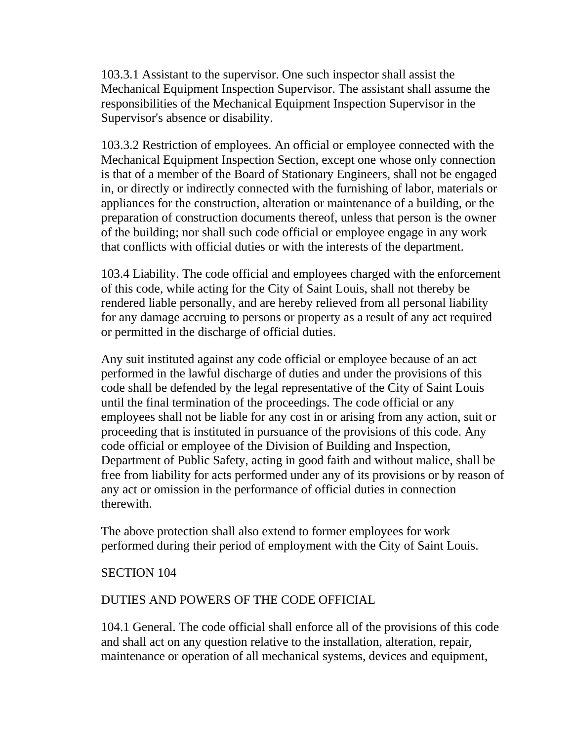103.3.1 Assistant to the supervisor. One such inspector shall assist the Mechanical Equipment Inspection Supervisor. The assistant shall assume the responsibilities of the Mechanical Equipment Inspection Supervisor in the Supervisor's absence or disability.

103.3.2 Restriction of employees. An official or employee connected with the Mechanical Equipment Inspection Section, except one whose only connection is that of a member of the Board of Stationary Engineers, shall not be engaged in, or directly or indirectly connected with the furnishing of labor, materials or appliances for the construction, alteration or maintenance of a building, or the preparation of construction documents thereof, unless that person is the owner of the building; nor shall such code official or employee engage in any work that conflicts with official duties or with the interests of the department.

103.4 Liability. The code official and employees charged with the enforcement of this code, while acting for the City of Saint Louis, shall not thereby be rendered liable personally, and are hereby relieved from all personal liability for any damage accruing to persons or property as a result of any act required or permitted in the discharge of official duties.

Any suit instituted against any code official or employee because of an act performed in the lawful discharge of duties and under the provisions of this code shall be defended by the legal representative of the City of Saint Louis until the final termination of the proceedings. The code official or any employees shall not be liable for any cost in or arising from any action, suit or proceeding that is instituted in pursuance of the provisions of this code. Any code official or employee of the Division of Building and Inspection, Department of Public Safety, acting in good faith and without malice, shall be free from liability for acts performed under any of its provisions or by reason of any act or omission in the performance of official duties in connection therewith.

The above protection shall also extend to former employees for work performed during their period of employment with the City of Saint Louis.

SECTION 104

# DUTIES AND POWERS OF THE CODE OFFICIAL

104.1 General. The code official shall enforce all of the provisions of this code and shall act on any question relative to the installation, alteration, repair, maintenance or operation of all mechanical systems, devices and equipment,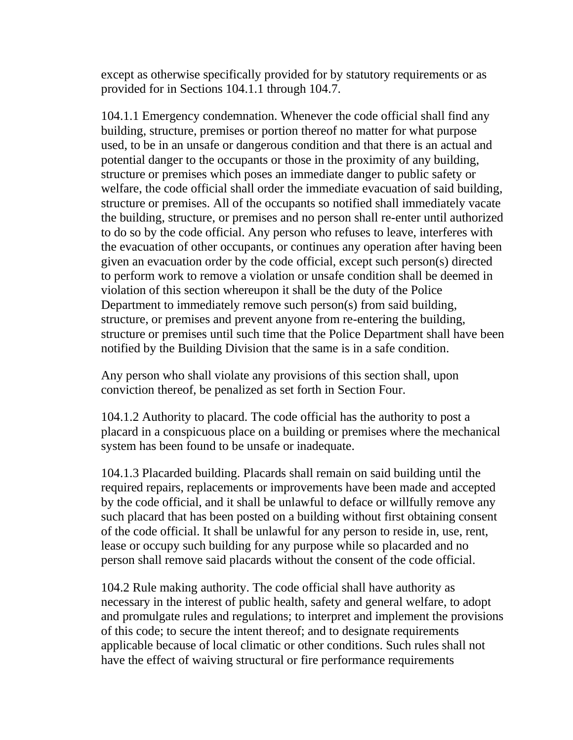except as otherwise specifically provided for by statutory requirements or as provided for in Sections 104.1.1 through 104.7.

104.1.1 Emergency condemnation. Whenever the code official shall find any building, structure, premises or portion thereof no matter for what purpose used, to be in an unsafe or dangerous condition and that there is an actual and potential danger to the occupants or those in the proximity of any building, structure or premises which poses an immediate danger to public safety or welfare, the code official shall order the immediate evacuation of said building, structure or premises. All of the occupants so notified shall immediately vacate the building, structure, or premises and no person shall re-enter until authorized to do so by the code official. Any person who refuses to leave, interferes with the evacuation of other occupants, or continues any operation after having been given an evacuation order by the code official, except such person(s) directed to perform work to remove a violation or unsafe condition shall be deemed in violation of this section whereupon it shall be the duty of the Police Department to immediately remove such person(s) from said building, structure, or premises and prevent anyone from re-entering the building, structure or premises until such time that the Police Department shall have been notified by the Building Division that the same is in a safe condition.

Any person who shall violate any provisions of this section shall, upon conviction thereof, be penalized as set forth in Section Four.

104.1.2 Authority to placard. The code official has the authority to post a placard in a conspicuous place on a building or premises where the mechanical system has been found to be unsafe or inadequate.

104.1.3 Placarded building. Placards shall remain on said building until the required repairs, replacements or improvements have been made and accepted by the code official, and it shall be unlawful to deface or willfully remove any such placard that has been posted on a building without first obtaining consent of the code official. It shall be unlawful for any person to reside in, use, rent, lease or occupy such building for any purpose while so placarded and no person shall remove said placards without the consent of the code official.

104.2 Rule making authority. The code official shall have authority as necessary in the interest of public health, safety and general welfare, to adopt and promulgate rules and regulations; to interpret and implement the provisions of this code; to secure the intent thereof; and to designate requirements applicable because of local climatic or other conditions. Such rules shall not have the effect of waiving structural or fire performance requirements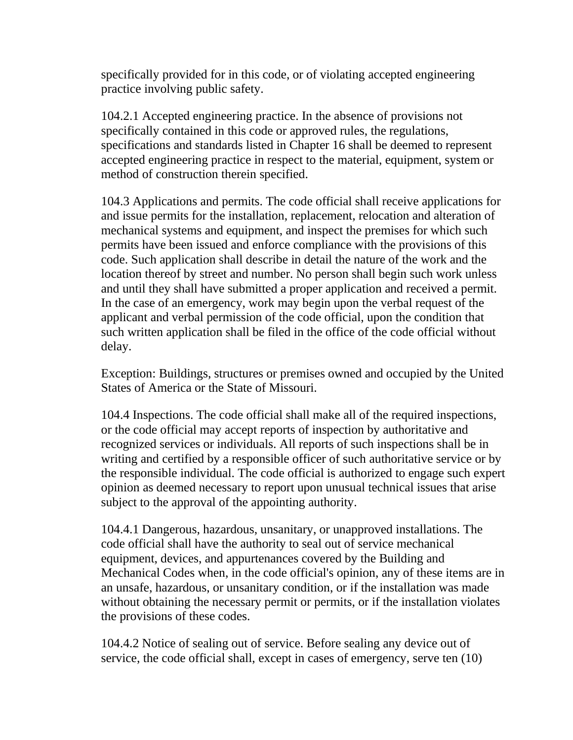specifically provided for in this code, or of violating accepted engineering practice involving public safety.

104.2.1 Accepted engineering practice. In the absence of provisions not specifically contained in this code or approved rules, the regulations, specifications and standards listed in Chapter 16 shall be deemed to represent accepted engineering practice in respect to the material, equipment, system or method of construction therein specified.

104.3 Applications and permits. The code official shall receive applications for and issue permits for the installation, replacement, relocation and alteration of mechanical systems and equipment, and inspect the premises for which such permits have been issued and enforce compliance with the provisions of this code. Such application shall describe in detail the nature of the work and the location thereof by street and number. No person shall begin such work unless and until they shall have submitted a proper application and received a permit. In the case of an emergency, work may begin upon the verbal request of the applicant and verbal permission of the code official, upon the condition that such written application shall be filed in the office of the code official without delay.

Exception: Buildings, structures or premises owned and occupied by the United States of America or the State of Missouri.

104.4 Inspections. The code official shall make all of the required inspections, or the code official may accept reports of inspection by authoritative and recognized services or individuals. All reports of such inspections shall be in writing and certified by a responsible officer of such authoritative service or by the responsible individual. The code official is authorized to engage such expert opinion as deemed necessary to report upon unusual technical issues that arise subject to the approval of the appointing authority.

104.4.1 Dangerous, hazardous, unsanitary, or unapproved installations. The code official shall have the authority to seal out of service mechanical equipment, devices, and appurtenances covered by the Building and Mechanical Codes when, in the code official's opinion, any of these items are in an unsafe, hazardous, or unsanitary condition, or if the installation was made without obtaining the necessary permit or permits, or if the installation violates the provisions of these codes.

104.4.2 Notice of sealing out of service. Before sealing any device out of service, the code official shall, except in cases of emergency, serve ten (10)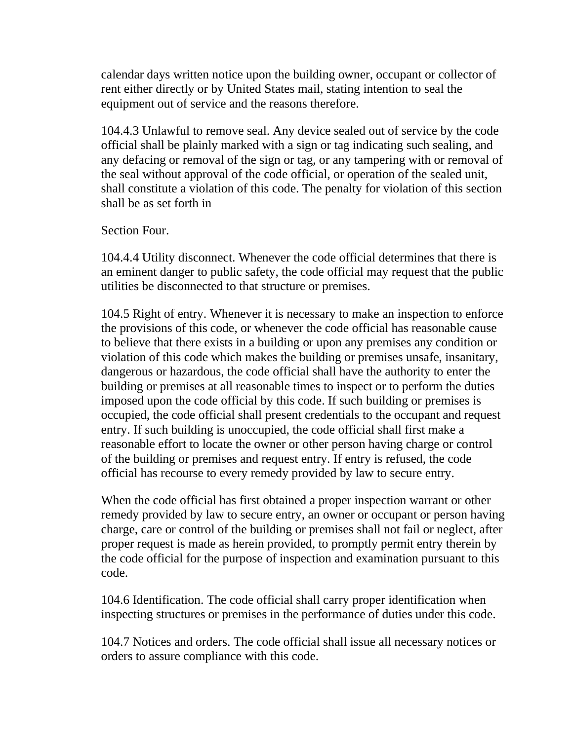calendar days written notice upon the building owner, occupant or collector of rent either directly or by United States mail, stating intention to seal the equipment out of service and the reasons therefore.

104.4.3 Unlawful to remove seal. Any device sealed out of service by the code official shall be plainly marked with a sign or tag indicating such sealing, and any defacing or removal of the sign or tag, or any tampering with or removal of the seal without approval of the code official, or operation of the sealed unit, shall constitute a violation of this code. The penalty for violation of this section shall be as set forth in

### Section Four.

104.4.4 Utility disconnect. Whenever the code official determines that there is an eminent danger to public safety, the code official may request that the public utilities be disconnected to that structure or premises.

104.5 Right of entry. Whenever it is necessary to make an inspection to enforce the provisions of this code, or whenever the code official has reasonable cause to believe that there exists in a building or upon any premises any condition or violation of this code which makes the building or premises unsafe, insanitary, dangerous or hazardous, the code official shall have the authority to enter the building or premises at all reasonable times to inspect or to perform the duties imposed upon the code official by this code. If such building or premises is occupied, the code official shall present credentials to the occupant and request entry. If such building is unoccupied, the code official shall first make a reasonable effort to locate the owner or other person having charge or control of the building or premises and request entry. If entry is refused, the code official has recourse to every remedy provided by law to secure entry.

When the code official has first obtained a proper inspection warrant or other remedy provided by law to secure entry, an owner or occupant or person having charge, care or control of the building or premises shall not fail or neglect, after proper request is made as herein provided, to promptly permit entry therein by the code official for the purpose of inspection and examination pursuant to this code.

104.6 Identification. The code official shall carry proper identification when inspecting structures or premises in the performance of duties under this code.

104.7 Notices and orders. The code official shall issue all necessary notices or orders to assure compliance with this code.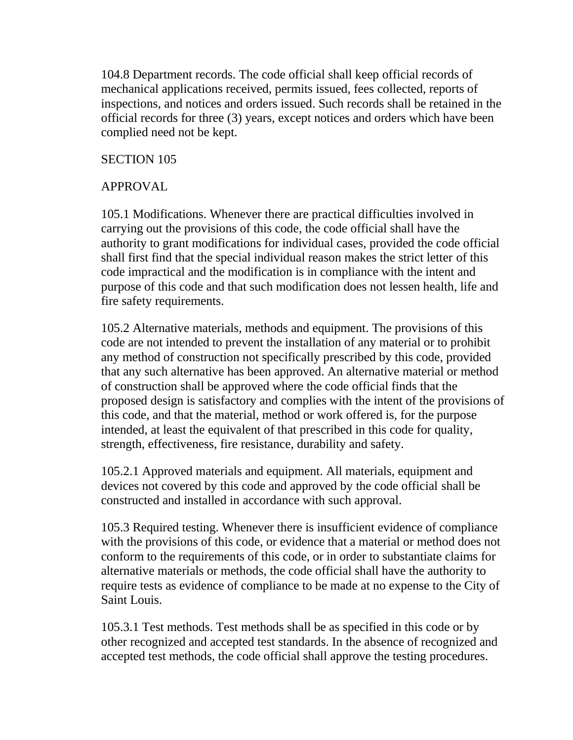104.8 Department records. The code official shall keep official records of mechanical applications received, permits issued, fees collected, reports of inspections, and notices and orders issued. Such records shall be retained in the official records for three (3) years, except notices and orders which have been complied need not be kept.

# SECTION 105

# APPROVAL

105.1 Modifications. Whenever there are practical difficulties involved in carrying out the provisions of this code, the code official shall have the authority to grant modifications for individual cases, provided the code official shall first find that the special individual reason makes the strict letter of this code impractical and the modification is in compliance with the intent and purpose of this code and that such modification does not lessen health, life and fire safety requirements.

105.2 Alternative materials, methods and equipment. The provisions of this code are not intended to prevent the installation of any material or to prohibit any method of construction not specifically prescribed by this code, provided that any such alternative has been approved. An alternative material or method of construction shall be approved where the code official finds that the proposed design is satisfactory and complies with the intent of the provisions of this code, and that the material, method or work offered is, for the purpose intended, at least the equivalent of that prescribed in this code for quality, strength, effectiveness, fire resistance, durability and safety.

105.2.1 Approved materials and equipment. All materials, equipment and devices not covered by this code and approved by the code official shall be constructed and installed in accordance with such approval.

105.3 Required testing. Whenever there is insufficient evidence of compliance with the provisions of this code, or evidence that a material or method does not conform to the requirements of this code, or in order to substantiate claims for alternative materials or methods, the code official shall have the authority to require tests as evidence of compliance to be made at no expense to the City of Saint Louis.

105.3.1 Test methods. Test methods shall be as specified in this code or by other recognized and accepted test standards. In the absence of recognized and accepted test methods, the code official shall approve the testing procedures.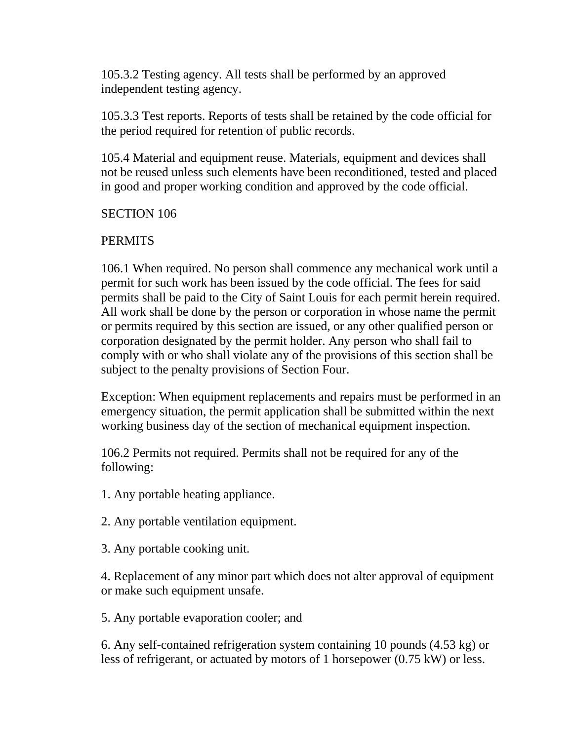105.3.2 Testing agency. All tests shall be performed by an approved independent testing agency.

105.3.3 Test reports. Reports of tests shall be retained by the code official for the period required for retention of public records.

105.4 Material and equipment reuse. Materials, equipment and devices shall not be reused unless such elements have been reconditioned, tested and placed in good and proper working condition and approved by the code official.

SECTION 106

# **PERMITS**

106.1 When required. No person shall commence any mechanical work until a permit for such work has been issued by the code official. The fees for said permits shall be paid to the City of Saint Louis for each permit herein required. All work shall be done by the person or corporation in whose name the permit or permits required by this section are issued, or any other qualified person or corporation designated by the permit holder. Any person who shall fail to comply with or who shall violate any of the provisions of this section shall be subject to the penalty provisions of Section Four.

Exception: When equipment replacements and repairs must be performed in an emergency situation, the permit application shall be submitted within the next working business day of the section of mechanical equipment inspection.

106.2 Permits not required. Permits shall not be required for any of the following:

1. Any portable heating appliance.

2. Any portable ventilation equipment.

3. Any portable cooking unit.

4. Replacement of any minor part which does not alter approval of equipment or make such equipment unsafe.

5. Any portable evaporation cooler; and

6. Any self-contained refrigeration system containing 10 pounds (4.53 kg) or less of refrigerant, or actuated by motors of 1 horsepower (0.75 kW) or less.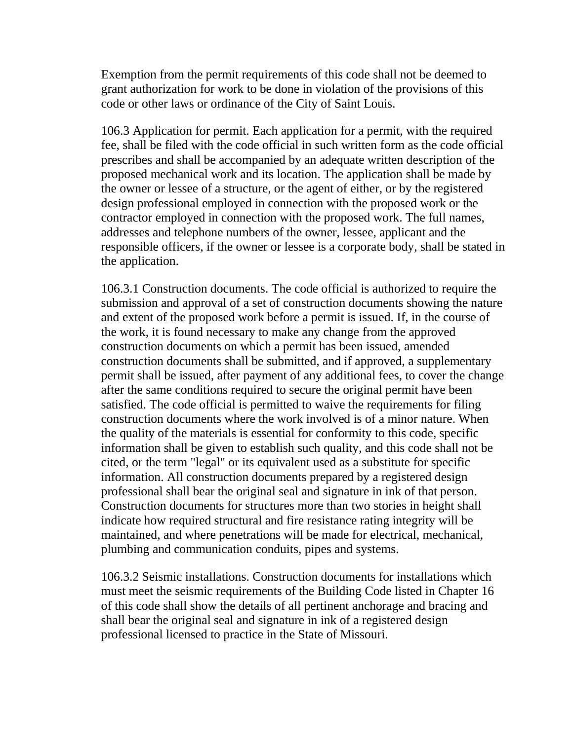Exemption from the permit requirements of this code shall not be deemed to grant authorization for work to be done in violation of the provisions of this code or other laws or ordinance of the City of Saint Louis.

106.3 Application for permit. Each application for a permit, with the required fee, shall be filed with the code official in such written form as the code official prescribes and shall be accompanied by an adequate written description of the proposed mechanical work and its location. The application shall be made by the owner or lessee of a structure, or the agent of either, or by the registered design professional employed in connection with the proposed work or the contractor employed in connection with the proposed work. The full names, addresses and telephone numbers of the owner, lessee, applicant and the responsible officers, if the owner or lessee is a corporate body, shall be stated in the application.

106.3.1 Construction documents. The code official is authorized to require the submission and approval of a set of construction documents showing the nature and extent of the proposed work before a permit is issued. If, in the course of the work, it is found necessary to make any change from the approved construction documents on which a permit has been issued, amended construction documents shall be submitted, and if approved, a supplementary permit shall be issued, after payment of any additional fees, to cover the change after the same conditions required to secure the original permit have been satisfied. The code official is permitted to waive the requirements for filing construction documents where the work involved is of a minor nature. When the quality of the materials is essential for conformity to this code, specific information shall be given to establish such quality, and this code shall not be cited, or the term "legal" or its equivalent used as a substitute for specific information. All construction documents prepared by a registered design professional shall bear the original seal and signature in ink of that person. Construction documents for structures more than two stories in height shall indicate how required structural and fire resistance rating integrity will be maintained, and where penetrations will be made for electrical, mechanical, plumbing and communication conduits, pipes and systems.

106.3.2 Seismic installations. Construction documents for installations which must meet the seismic requirements of the Building Code listed in Chapter 16 of this code shall show the details of all pertinent anchorage and bracing and shall bear the original seal and signature in ink of a registered design professional licensed to practice in the State of Missouri.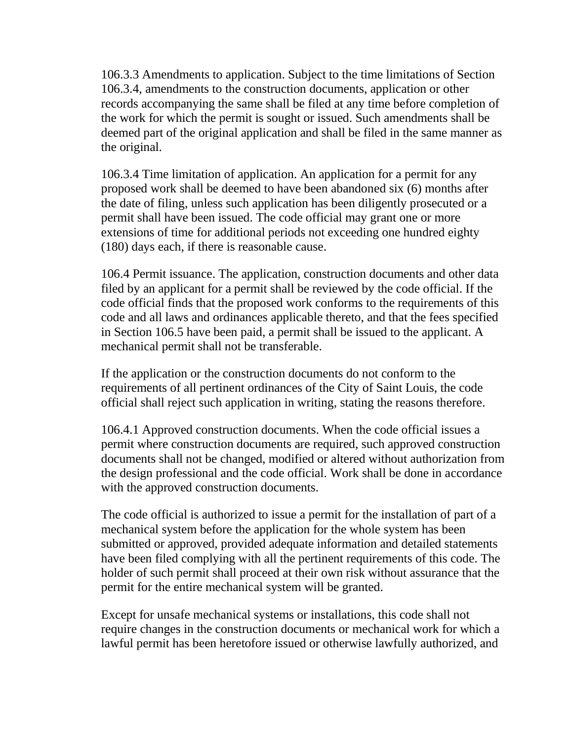106.3.3 Amendments to application. Subject to the time limitations of Section 106.3.4, amendments to the construction documents, application or other records accompanying the same shall be filed at any time before completion of the work for which the permit is sought or issued. Such amendments shall be deemed part of the original application and shall be filed in the same manner as the original.

106.3.4 Time limitation of application. An application for a permit for any proposed work shall be deemed to have been abandoned six (6) months after the date of filing, unless such application has been diligently prosecuted or a permit shall have been issued. The code official may grant one or more extensions of time for additional periods not exceeding one hundred eighty (180) days each, if there is reasonable cause.

106.4 Permit issuance. The application, construction documents and other data filed by an applicant for a permit shall be reviewed by the code official. If the code official finds that the proposed work conforms to the requirements of this code and all laws and ordinances applicable thereto, and that the fees specified in Section 106.5 have been paid, a permit shall be issued to the applicant. A mechanical permit shall not be transferable.

If the application or the construction documents do not conform to the requirements of all pertinent ordinances of the City of Saint Louis, the code official shall reject such application in writing, stating the reasons therefore.

106.4.1 Approved construction documents. When the code official issues a permit where construction documents are required, such approved construction documents shall not be changed, modified or altered without authorization from the design professional and the code official. Work shall be done in accordance with the approved construction documents.

The code official is authorized to issue a permit for the installation of part of a mechanical system before the application for the whole system has been submitted or approved, provided adequate information and detailed statements have been filed complying with all the pertinent requirements of this code. The holder of such permit shall proceed at their own risk without assurance that the permit for the entire mechanical system will be granted.

Except for unsafe mechanical systems or installations, this code shall not require changes in the construction documents or mechanical work for which a lawful permit has been heretofore issued or otherwise lawfully authorized, and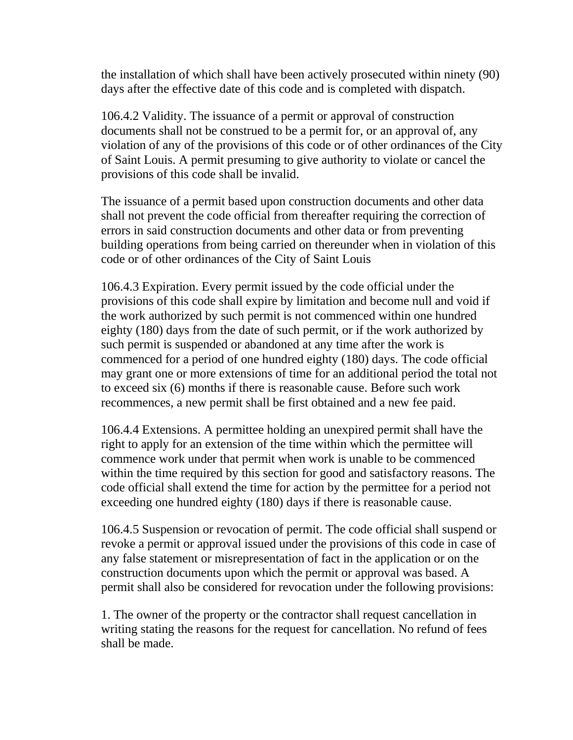the installation of which shall have been actively prosecuted within ninety (90) days after the effective date of this code and is completed with dispatch.

106.4.2 Validity. The issuance of a permit or approval of construction documents shall not be construed to be a permit for, or an approval of, any violation of any of the provisions of this code or of other ordinances of the City of Saint Louis. A permit presuming to give authority to violate or cancel the provisions of this code shall be invalid.

The issuance of a permit based upon construction documents and other data shall not prevent the code official from thereafter requiring the correction of errors in said construction documents and other data or from preventing building operations from being carried on thereunder when in violation of this code or of other ordinances of the City of Saint Louis

106.4.3 Expiration. Every permit issued by the code official under the provisions of this code shall expire by limitation and become null and void if the work authorized by such permit is not commenced within one hundred eighty (180) days from the date of such permit, or if the work authorized by such permit is suspended or abandoned at any time after the work is commenced for a period of one hundred eighty (180) days. The code official may grant one or more extensions of time for an additional period the total not to exceed six (6) months if there is reasonable cause. Before such work recommences, a new permit shall be first obtained and a new fee paid.

106.4.4 Extensions. A permittee holding an unexpired permit shall have the right to apply for an extension of the time within which the permittee will commence work under that permit when work is unable to be commenced within the time required by this section for good and satisfactory reasons. The code official shall extend the time for action by the permittee for a period not exceeding one hundred eighty (180) days if there is reasonable cause.

106.4.5 Suspension or revocation of permit. The code official shall suspend or revoke a permit or approval issued under the provisions of this code in case of any false statement or misrepresentation of fact in the application or on the construction documents upon which the permit or approval was based. A permit shall also be considered for revocation under the following provisions:

1. The owner of the property or the contractor shall request cancellation in writing stating the reasons for the request for cancellation. No refund of fees shall be made.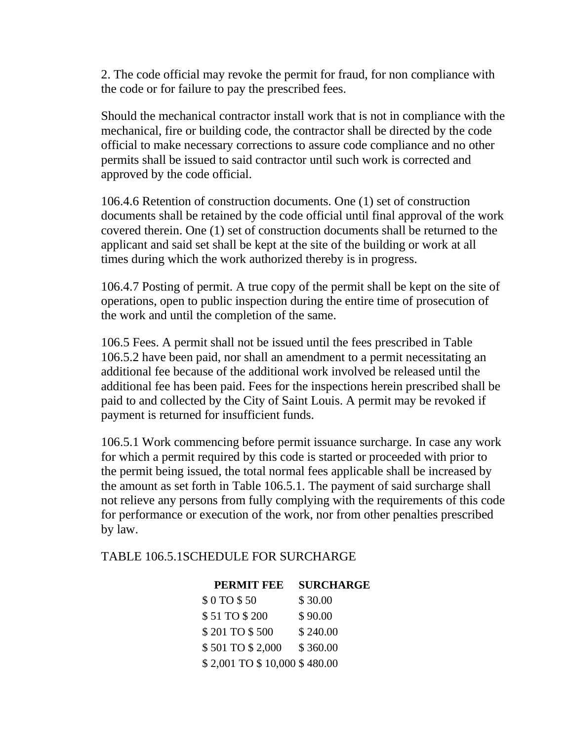2. The code official may revoke the permit for fraud, for non compliance with the code or for failure to pay the prescribed fees.

Should the mechanical contractor install work that is not in compliance with the mechanical, fire or building code, the contractor shall be directed by the code official to make necessary corrections to assure code compliance and no other permits shall be issued to said contractor until such work is corrected and approved by the code official.

106.4.6 Retention of construction documents. One (1) set of construction documents shall be retained by the code official until final approval of the work covered therein. One (1) set of construction documents shall be returned to the applicant and said set shall be kept at the site of the building or work at all times during which the work authorized thereby is in progress.

106.4.7 Posting of permit. A true copy of the permit shall be kept on the site of operations, open to public inspection during the entire time of prosecution of the work and until the completion of the same.

106.5 Fees. A permit shall not be issued until the fees prescribed in Table 106.5.2 have been paid, nor shall an amendment to a permit necessitating an additional fee because of the additional work involved be released until the additional fee has been paid. Fees for the inspections herein prescribed shall be paid to and collected by the City of Saint Louis. A permit may be revoked if payment is returned for insufficient funds.

106.5.1 Work commencing before permit issuance surcharge. In case any work for which a permit required by this code is started or proceeded with prior to the permit being issued, the total normal fees applicable shall be increased by the amount as set forth in Table 106.5.1. The payment of said surcharge shall not relieve any persons from fully complying with the requirements of this code for performance or execution of the work, nor from other penalties prescribed by law.

### TABLE 106.5.1SCHEDULE FOR SURCHARGE

| <b>PERMIT FEE</b>            | <b>SURCHARGE</b> |
|------------------------------|------------------|
| \$0 TO \$50                  | \$30.00          |
| \$51 TO \$200                | \$90.00          |
| \$201 TO \$500               | \$240.00         |
| \$501 TO \$2,000             | \$360.00         |
| \$2,001 TO \$10,000 \$480.00 |                  |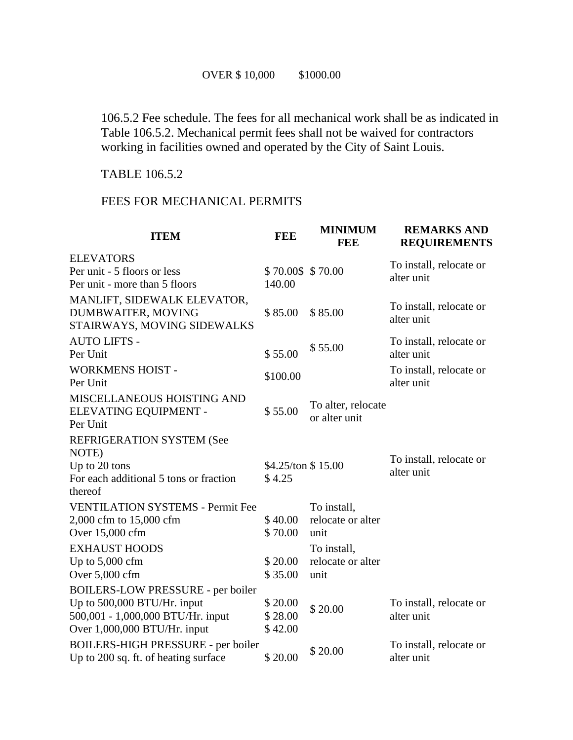#### OVER \$ 10,000 \$1000.00

106.5.2 Fee schedule. The fees for all mechanical work shall be as indicated in Table 106.5.2. Mechanical permit fees shall not be waived for contractors working in facilities owned and operated by the City of Saint Louis.

#### TABLE 106.5.2

### FEES FOR MECHANICAL PERMITS

| <b>ITEM</b>                                                                      | <b>FEE</b>         | <b>MINIMUM</b><br>FEE               | <b>REMARKS AND</b><br><b>REQUIREMENTS</b> |
|----------------------------------------------------------------------------------|--------------------|-------------------------------------|-------------------------------------------|
| <b>ELEVATORS</b>                                                                 |                    |                                     | To install, relocate or                   |
| Per unit - 5 floors or less                                                      | $$70.00$$ \$ 70.00 |                                     | alter unit                                |
| Per unit - more than 5 floors                                                    | 140.00             |                                     |                                           |
| MANLIFT, SIDEWALK ELEVATOR,<br>DUMBWAITER, MOVING<br>STAIRWAYS, MOVING SIDEWALKS | \$85.00            | \$85.00                             | To install, relocate or<br>alter unit     |
| <b>AUTO LIFTS -</b>                                                              |                    |                                     | To install, relocate or                   |
| Per Unit                                                                         | \$55.00            | \$55.00                             | alter unit                                |
| <b>WORKMENS HOIST -</b><br>Per Unit                                              | \$100.00           |                                     | To install, relocate or<br>alter unit     |
| MISCELLANEOUS HOISTING AND<br>ELEVATING EQUIPMENT -<br>Per Unit                  | \$55.00            | To alter, relocate<br>or alter unit |                                           |
| <b>REFRIGERATION SYSTEM (See</b><br>NOTE)                                        |                    |                                     |                                           |
| Up to 20 tons                                                                    | \$4.25/ton \$15.00 |                                     | To install, relocate or<br>alter unit     |
| For each additional 5 tons or fraction<br>thereof                                | \$4.25             |                                     |                                           |
| <b>VENTILATION SYSTEMS - Permit Fee</b>                                          |                    | To install,                         |                                           |
| 2,000 cfm to 15,000 cfm                                                          | \$40.00            | relocate or alter                   |                                           |
| Over 15,000 cfm                                                                  | \$70.00            | unit                                |                                           |
| <b>EXHAUST HOODS</b>                                                             |                    | To install,                         |                                           |
| Up to $5,000$ cfm                                                                | \$20.00            | relocate or alter                   |                                           |
| Over $5,000$ cfm                                                                 | \$35.00            | unit                                |                                           |
| <b>BOILERS-LOW PRESSURE - per boiler</b>                                         |                    |                                     |                                           |
| Up to 500,000 BTU/Hr. input                                                      | \$20.00            | \$20.00                             | To install, relocate or                   |
| 500,001 - 1,000,000 BTU/Hr. input                                                | \$28.00            |                                     | alter unit                                |
| Over 1,000,000 BTU/Hr. input                                                     | \$42.00            |                                     |                                           |
| BOILERS-HIGH PRESSURE - per boiler<br>Up to 200 sq. ft. of heating surface       | \$20.00            | \$20.00                             | To install, relocate or<br>alter unit     |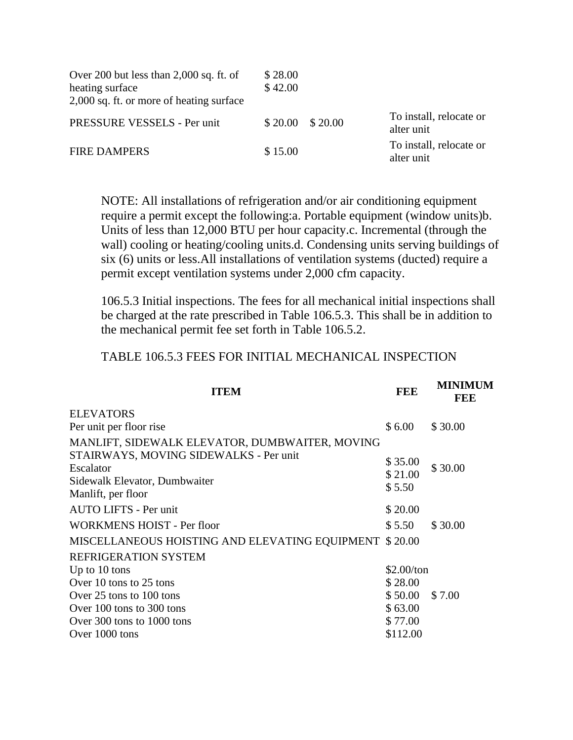| Over 200 but less than $2,000$ sq. ft. of | \$28.00            |                                       |
|-------------------------------------------|--------------------|---------------------------------------|
| heating surface                           | \$42.00            |                                       |
| 2,000 sq. ft. or more of heating surface  |                    |                                       |
| PRESSURE VESSELS - Per unit               | \$20.00<br>\$20.00 | To install, relocate or<br>alter unit |
| <b>FIRE DAMPERS</b>                       | \$15.00            | To install, relocate or<br>alter unit |

NOTE: All installations of refrigeration and/or air conditioning equipment require a permit except the following:a. Portable equipment (window units)b. Units of less than 12,000 BTU per hour capacity.c. Incremental (through the wall) cooling or heating/cooling units.d. Condensing units serving buildings of six (6) units or less.All installations of ventilation systems (ducted) require a permit except ventilation systems under 2,000 cfm capacity.

106.5.3 Initial inspections. The fees for all mechanical initial inspections shall be charged at the rate prescribed in Table 106.5.3. This shall be in addition to the mechanical permit fee set forth in Table 106.5.2.

#### TABLE 106.5.3 FEES FOR INITIAL MECHANICAL INSPECTION

| ITEM                                                   | FEE        | <b>MINIMUM</b><br>FEE |
|--------------------------------------------------------|------------|-----------------------|
| <b>ELEVATORS</b>                                       |            |                       |
| Per unit per floor rise                                | \$6.00     | \$30.00               |
| MANLIFT, SIDEWALK ELEVATOR, DUMBWAITER, MOVING         |            |                       |
| STAIRWAYS, MOVING SIDEWALKS - Per unit                 | \$35.00    |                       |
| Escalator<br>Sidewalk Elevator, Dumbwaiter             | \$21.00    | \$30.00               |
| Manlift, per floor                                     | \$5.50     |                       |
| <b>AUTO LIFTS - Per unit</b>                           | \$20.00    |                       |
| <b>WORKMENS HOIST - Per floor</b>                      | \$5.50     | \$30.00               |
| MISCELLANEOUS HOISTING AND ELEVATING EQUIPMENT \$20.00 |            |                       |
| <b>REFRIGERATION SYSTEM</b>                            |            |                       |
| Up to 10 tons                                          | \$2.00/ton |                       |
| Over 10 tons to 25 tons                                | \$28.00    |                       |
| Over 25 tons to 100 tons                               | \$50.00    | \$7.00                |
| Over 100 tons to 300 tons                              | \$63.00    |                       |
| Over 300 tons to 1000 tons                             | \$77.00    |                       |
| Over 1000 tons                                         | \$112.00   |                       |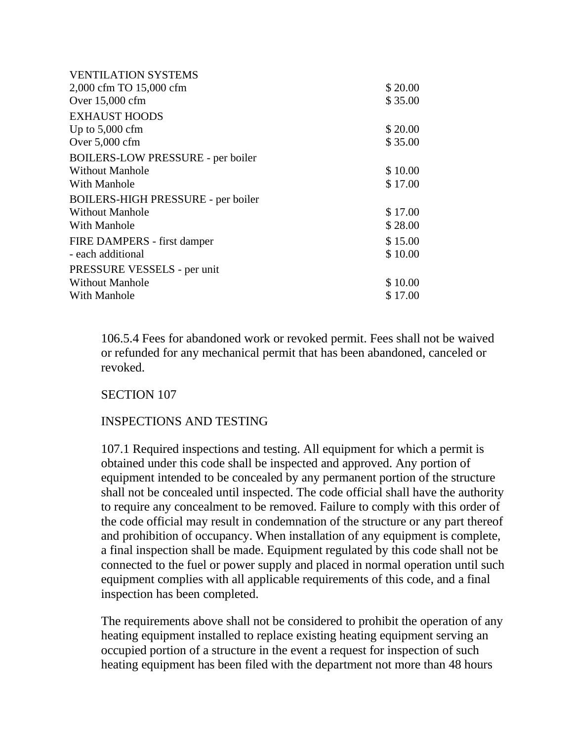| <b>VENTILATION SYSTEMS</b>               |         |
|------------------------------------------|---------|
| 2,000 cfm TO 15,000 cfm                  | \$20.00 |
| Over 15,000 cfm                          | \$35.00 |
| <b>EXHAUST HOODS</b>                     |         |
| Up to $5,000$ cfm                        | \$20.00 |
| Over 5,000 cfm                           | \$35.00 |
| <b>BOILERS-LOW PRESSURE - per boiler</b> |         |
| Without Manhole                          | \$10.00 |
| With Manhole                             | \$17.00 |
| BOILERS-HIGH PRESSURE - per boiler       |         |
| Without Manhole                          | \$17.00 |
| With Manhole                             | \$28.00 |
| FIRE DAMPERS - first damper              | \$15.00 |
| - each additional                        | \$10.00 |
| PRESSURE VESSELS - per unit              |         |
| <b>Without Manhole</b>                   | \$10.00 |
| With Manhole                             | \$17.00 |
|                                          |         |

106.5.4 Fees for abandoned work or revoked permit. Fees shall not be waived or refunded for any mechanical permit that has been abandoned, canceled or revoked.

#### SECTION 107

#### INSPECTIONS AND TESTING

107.1 Required inspections and testing. All equipment for which a permit is obtained under this code shall be inspected and approved. Any portion of equipment intended to be concealed by any permanent portion of the structure shall not be concealed until inspected. The code official shall have the authority to require any concealment to be removed. Failure to comply with this order of the code official may result in condemnation of the structure or any part thereof and prohibition of occupancy. When installation of any equipment is complete, a final inspection shall be made. Equipment regulated by this code shall not be connected to the fuel or power supply and placed in normal operation until such equipment complies with all applicable requirements of this code, and a final inspection has been completed.

The requirements above shall not be considered to prohibit the operation of any heating equipment installed to replace existing heating equipment serving an occupied portion of a structure in the event a request for inspection of such heating equipment has been filed with the department not more than 48 hours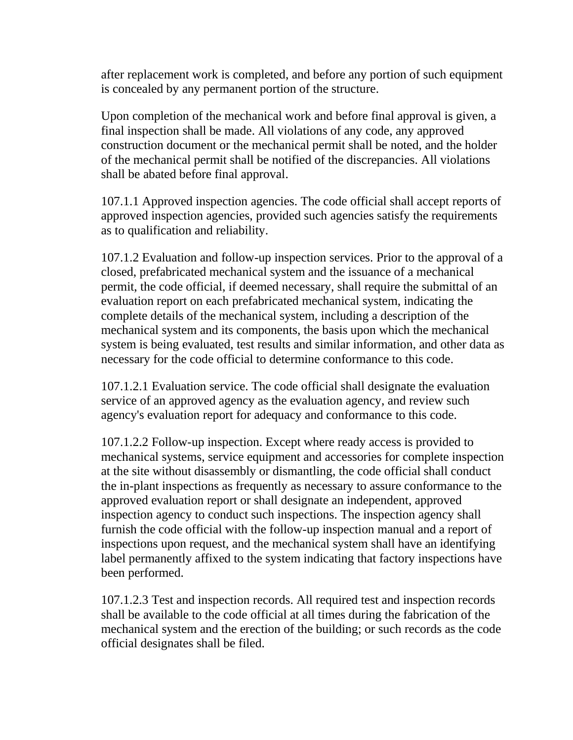after replacement work is completed, and before any portion of such equipment is concealed by any permanent portion of the structure.

Upon completion of the mechanical work and before final approval is given, a final inspection shall be made. All violations of any code, any approved construction document or the mechanical permit shall be noted, and the holder of the mechanical permit shall be notified of the discrepancies. All violations shall be abated before final approval.

107.1.1 Approved inspection agencies. The code official shall accept reports of approved inspection agencies, provided such agencies satisfy the requirements as to qualification and reliability.

107.1.2 Evaluation and follow-up inspection services. Prior to the approval of a closed, prefabricated mechanical system and the issuance of a mechanical permit, the code official, if deemed necessary, shall require the submittal of an evaluation report on each prefabricated mechanical system, indicating the complete details of the mechanical system, including a description of the mechanical system and its components, the basis upon which the mechanical system is being evaluated, test results and similar information, and other data as necessary for the code official to determine conformance to this code.

107.1.2.1 Evaluation service. The code official shall designate the evaluation service of an approved agency as the evaluation agency, and review such agency's evaluation report for adequacy and conformance to this code.

107.1.2.2 Follow-up inspection. Except where ready access is provided to mechanical systems, service equipment and accessories for complete inspection at the site without disassembly or dismantling, the code official shall conduct the in-plant inspections as frequently as necessary to assure conformance to the approved evaluation report or shall designate an independent, approved inspection agency to conduct such inspections. The inspection agency shall furnish the code official with the follow-up inspection manual and a report of inspections upon request, and the mechanical system shall have an identifying label permanently affixed to the system indicating that factory inspections have been performed.

107.1.2.3 Test and inspection records. All required test and inspection records shall be available to the code official at all times during the fabrication of the mechanical system and the erection of the building; or such records as the code official designates shall be filed.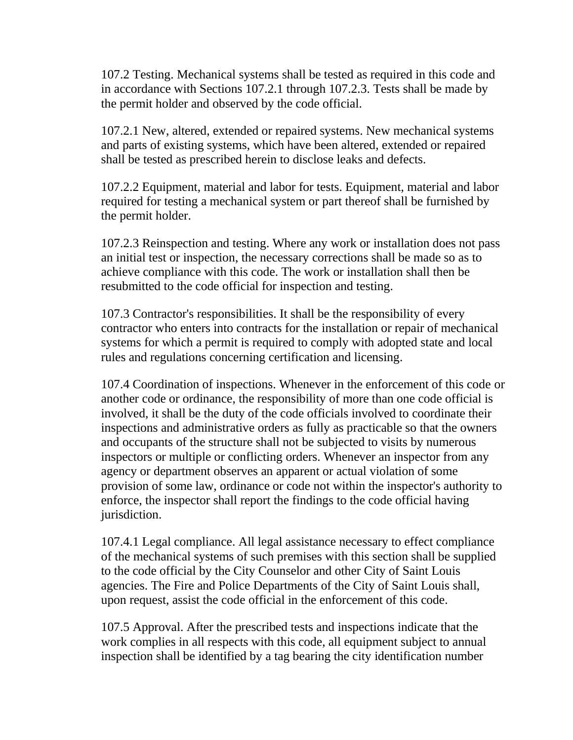107.2 Testing. Mechanical systems shall be tested as required in this code and in accordance with Sections 107.2.1 through 107.2.3. Tests shall be made by the permit holder and observed by the code official.

107.2.1 New, altered, extended or repaired systems. New mechanical systems and parts of existing systems, which have been altered, extended or repaired shall be tested as prescribed herein to disclose leaks and defects.

107.2.2 Equipment, material and labor for tests. Equipment, material and labor required for testing a mechanical system or part thereof shall be furnished by the permit holder.

107.2.3 Reinspection and testing. Where any work or installation does not pass an initial test or inspection, the necessary corrections shall be made so as to achieve compliance with this code. The work or installation shall then be resubmitted to the code official for inspection and testing.

107.3 Contractor's responsibilities. It shall be the responsibility of every contractor who enters into contracts for the installation or repair of mechanical systems for which a permit is required to comply with adopted state and local rules and regulations concerning certification and licensing.

107.4 Coordination of inspections. Whenever in the enforcement of this code or another code or ordinance, the responsibility of more than one code official is involved, it shall be the duty of the code officials involved to coordinate their inspections and administrative orders as fully as practicable so that the owners and occupants of the structure shall not be subjected to visits by numerous inspectors or multiple or conflicting orders. Whenever an inspector from any agency or department observes an apparent or actual violation of some provision of some law, ordinance or code not within the inspector's authority to enforce, the inspector shall report the findings to the code official having jurisdiction.

107.4.1 Legal compliance. All legal assistance necessary to effect compliance of the mechanical systems of such premises with this section shall be supplied to the code official by the City Counselor and other City of Saint Louis agencies. The Fire and Police Departments of the City of Saint Louis shall, upon request, assist the code official in the enforcement of this code.

107.5 Approval. After the prescribed tests and inspections indicate that the work complies in all respects with this code, all equipment subject to annual inspection shall be identified by a tag bearing the city identification number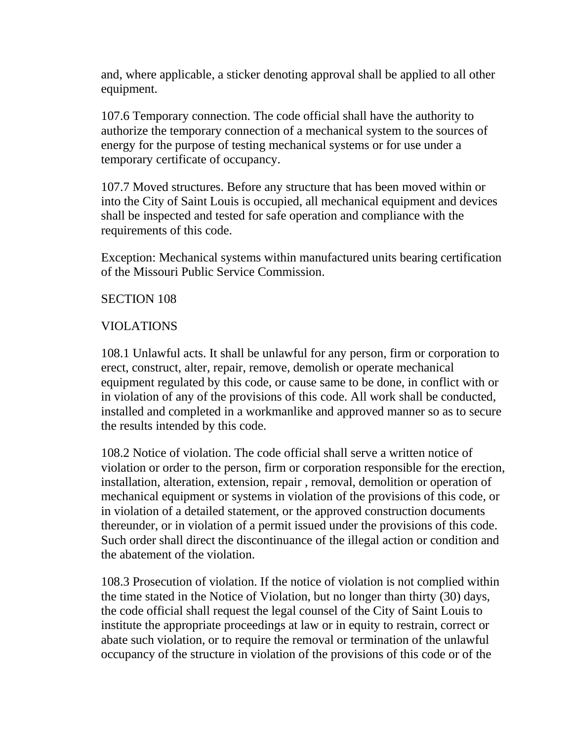and, where applicable, a sticker denoting approval shall be applied to all other equipment.

107.6 Temporary connection. The code official shall have the authority to authorize the temporary connection of a mechanical system to the sources of energy for the purpose of testing mechanical systems or for use under a temporary certificate of occupancy.

107.7 Moved structures. Before any structure that has been moved within or into the City of Saint Louis is occupied, all mechanical equipment and devices shall be inspected and tested for safe operation and compliance with the requirements of this code.

Exception: Mechanical systems within manufactured units bearing certification of the Missouri Public Service Commission.

### SECTION 108

### VIOLATIONS

108.1 Unlawful acts. It shall be unlawful for any person, firm or corporation to erect, construct, alter, repair, remove, demolish or operate mechanical equipment regulated by this code, or cause same to be done, in conflict with or in violation of any of the provisions of this code. All work shall be conducted, installed and completed in a workmanlike and approved manner so as to secure the results intended by this code.

108.2 Notice of violation. The code official shall serve a written notice of violation or order to the person, firm or corporation responsible for the erection, installation, alteration, extension, repair , removal, demolition or operation of mechanical equipment or systems in violation of the provisions of this code, or in violation of a detailed statement, or the approved construction documents thereunder, or in violation of a permit issued under the provisions of this code. Such order shall direct the discontinuance of the illegal action or condition and the abatement of the violation.

108.3 Prosecution of violation. If the notice of violation is not complied within the time stated in the Notice of Violation, but no longer than thirty (30) days, the code official shall request the legal counsel of the City of Saint Louis to institute the appropriate proceedings at law or in equity to restrain, correct or abate such violation, or to require the removal or termination of the unlawful occupancy of the structure in violation of the provisions of this code or of the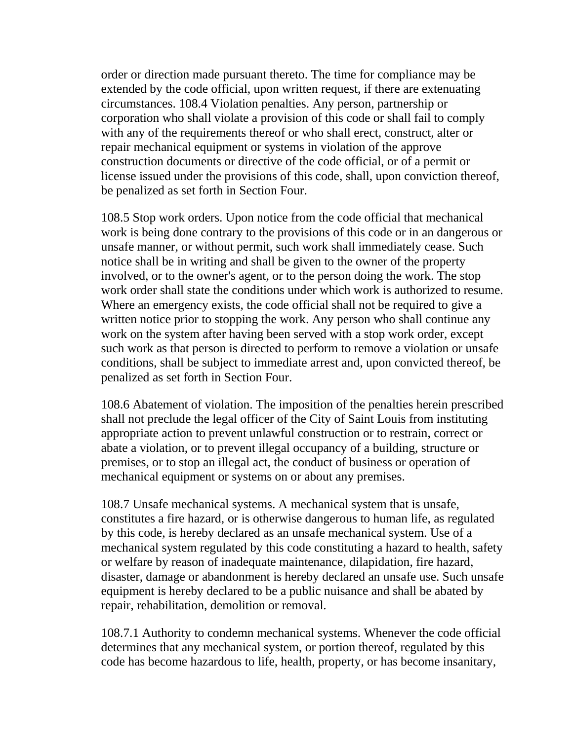order or direction made pursuant thereto. The time for compliance may be extended by the code official, upon written request, if there are extenuating circumstances. 108.4 Violation penalties. Any person, partnership or corporation who shall violate a provision of this code or shall fail to comply with any of the requirements thereof or who shall erect, construct, alter or repair mechanical equipment or systems in violation of the approve construction documents or directive of the code official, or of a permit or license issued under the provisions of this code, shall, upon conviction thereof, be penalized as set forth in Section Four.

108.5 Stop work orders. Upon notice from the code official that mechanical work is being done contrary to the provisions of this code or in an dangerous or unsafe manner, or without permit, such work shall immediately cease. Such notice shall be in writing and shall be given to the owner of the property involved, or to the owner's agent, or to the person doing the work. The stop work order shall state the conditions under which work is authorized to resume. Where an emergency exists, the code official shall not be required to give a written notice prior to stopping the work. Any person who shall continue any work on the system after having been served with a stop work order, except such work as that person is directed to perform to remove a violation or unsafe conditions, shall be subject to immediate arrest and, upon convicted thereof, be penalized as set forth in Section Four.

108.6 Abatement of violation. The imposition of the penalties herein prescribed shall not preclude the legal officer of the City of Saint Louis from instituting appropriate action to prevent unlawful construction or to restrain, correct or abate a violation, or to prevent illegal occupancy of a building, structure or premises, or to stop an illegal act, the conduct of business or operation of mechanical equipment or systems on or about any premises.

108.7 Unsafe mechanical systems. A mechanical system that is unsafe, constitutes a fire hazard, or is otherwise dangerous to human life, as regulated by this code, is hereby declared as an unsafe mechanical system. Use of a mechanical system regulated by this code constituting a hazard to health, safety or welfare by reason of inadequate maintenance, dilapidation, fire hazard, disaster, damage or abandonment is hereby declared an unsafe use. Such unsafe equipment is hereby declared to be a public nuisance and shall be abated by repair, rehabilitation, demolition or removal.

108.7.1 Authority to condemn mechanical systems. Whenever the code official determines that any mechanical system, or portion thereof, regulated by this code has become hazardous to life, health, property, or has become insanitary,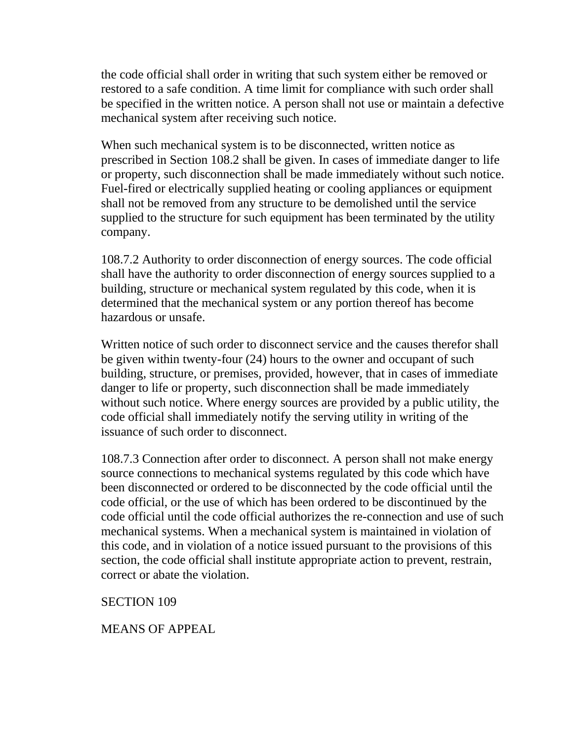the code official shall order in writing that such system either be removed or restored to a safe condition. A time limit for compliance with such order shall be specified in the written notice. A person shall not use or maintain a defective mechanical system after receiving such notice.

When such mechanical system is to be disconnected, written notice as prescribed in Section 108.2 shall be given. In cases of immediate danger to life or property, such disconnection shall be made immediately without such notice. Fuel-fired or electrically supplied heating or cooling appliances or equipment shall not be removed from any structure to be demolished until the service supplied to the structure for such equipment has been terminated by the utility company.

108.7.2 Authority to order disconnection of energy sources. The code official shall have the authority to order disconnection of energy sources supplied to a building, structure or mechanical system regulated by this code, when it is determined that the mechanical system or any portion thereof has become hazardous or unsafe.

Written notice of such order to disconnect service and the causes therefor shall be given within twenty-four (24) hours to the owner and occupant of such building, structure, or premises, provided, however, that in cases of immediate danger to life or property, such disconnection shall be made immediately without such notice. Where energy sources are provided by a public utility, the code official shall immediately notify the serving utility in writing of the issuance of such order to disconnect.

108.7.3 Connection after order to disconnect. A person shall not make energy source connections to mechanical systems regulated by this code which have been disconnected or ordered to be disconnected by the code official until the code official, or the use of which has been ordered to be discontinued by the code official until the code official authorizes the re-connection and use of such mechanical systems. When a mechanical system is maintained in violation of this code, and in violation of a notice issued pursuant to the provisions of this section, the code official shall institute appropriate action to prevent, restrain, correct or abate the violation.

SECTION 109

MEANS OF APPEAL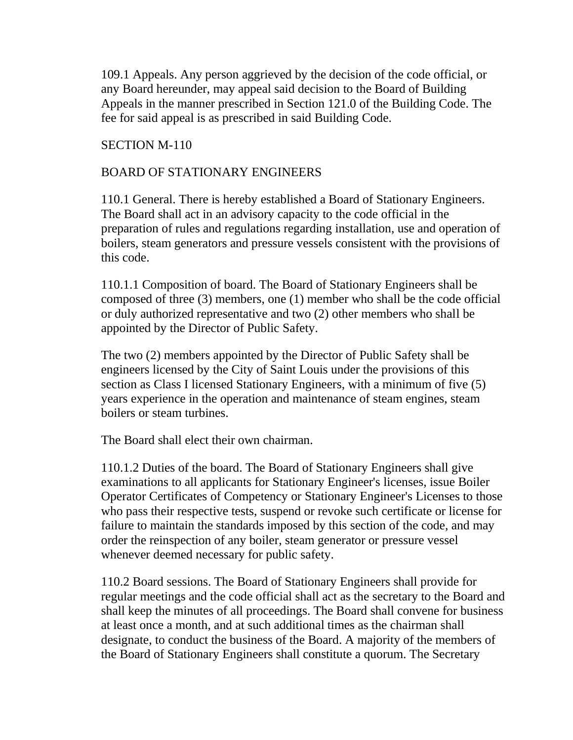109.1 Appeals. Any person aggrieved by the decision of the code official, or any Board hereunder, may appeal said decision to the Board of Building Appeals in the manner prescribed in Section 121.0 of the Building Code. The fee for said appeal is as prescribed in said Building Code.

## SECTION M-110

## BOARD OF STATIONARY ENGINEERS

110.1 General. There is hereby established a Board of Stationary Engineers. The Board shall act in an advisory capacity to the code official in the preparation of rules and regulations regarding installation, use and operation of boilers, steam generators and pressure vessels consistent with the provisions of this code.

110.1.1 Composition of board. The Board of Stationary Engineers shall be composed of three (3) members, one (1) member who shall be the code official or duly authorized representative and two (2) other members who shall be appointed by the Director of Public Safety.

The two (2) members appointed by the Director of Public Safety shall be engineers licensed by the City of Saint Louis under the provisions of this section as Class I licensed Stationary Engineers, with a minimum of five (5) years experience in the operation and maintenance of steam engines, steam boilers or steam turbines.

The Board shall elect their own chairman.

110.1.2 Duties of the board. The Board of Stationary Engineers shall give examinations to all applicants for Stationary Engineer's licenses, issue Boiler Operator Certificates of Competency or Stationary Engineer's Licenses to those who pass their respective tests, suspend or revoke such certificate or license for failure to maintain the standards imposed by this section of the code, and may order the reinspection of any boiler, steam generator or pressure vessel whenever deemed necessary for public safety.

110.2 Board sessions. The Board of Stationary Engineers shall provide for regular meetings and the code official shall act as the secretary to the Board and shall keep the minutes of all proceedings. The Board shall convene for business at least once a month, and at such additional times as the chairman shall designate, to conduct the business of the Board. A majority of the members of the Board of Stationary Engineers shall constitute a quorum. The Secretary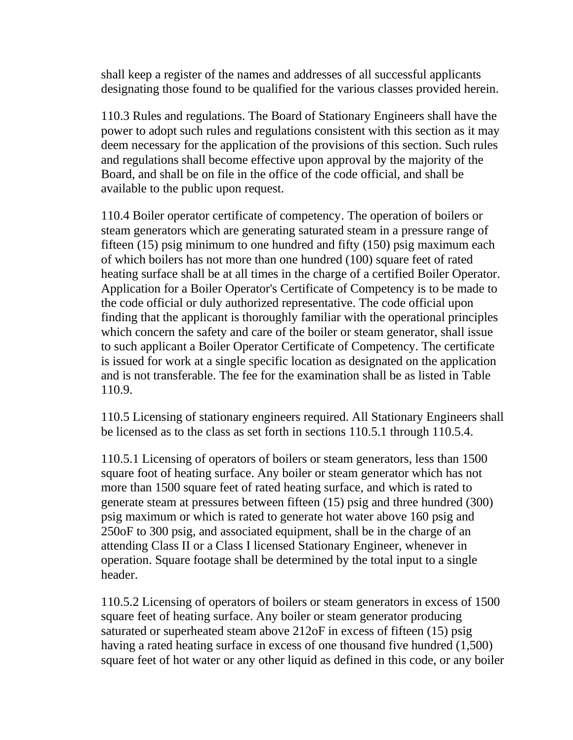shall keep a register of the names and addresses of all successful applicants designating those found to be qualified for the various classes provided herein.

110.3 Rules and regulations. The Board of Stationary Engineers shall have the power to adopt such rules and regulations consistent with this section as it may deem necessary for the application of the provisions of this section. Such rules and regulations shall become effective upon approval by the majority of the Board, and shall be on file in the office of the code official, and shall be available to the public upon request.

110.4 Boiler operator certificate of competency. The operation of boilers or steam generators which are generating saturated steam in a pressure range of fifteen (15) psig minimum to one hundred and fifty (150) psig maximum each of which boilers has not more than one hundred (100) square feet of rated heating surface shall be at all times in the charge of a certified Boiler Operator. Application for a Boiler Operator's Certificate of Competency is to be made to the code official or duly authorized representative. The code official upon finding that the applicant is thoroughly familiar with the operational principles which concern the safety and care of the boiler or steam generator, shall issue to such applicant a Boiler Operator Certificate of Competency. The certificate is issued for work at a single specific location as designated on the application and is not transferable. The fee for the examination shall be as listed in Table 110.9.

110.5 Licensing of stationary engineers required. All Stationary Engineers shall be licensed as to the class as set forth in sections 110.5.1 through 110.5.4.

110.5.1 Licensing of operators of boilers or steam generators, less than 1500 square foot of heating surface. Any boiler or steam generator which has not more than 1500 square feet of rated heating surface, and which is rated to generate steam at pressures between fifteen (15) psig and three hundred (300) psig maximum or which is rated to generate hot water above 160 psig and 250oF to 300 psig, and associated equipment, shall be in the charge of an attending Class II or a Class I licensed Stationary Engineer, whenever in operation. Square footage shall be determined by the total input to a single header.

110.5.2 Licensing of operators of boilers or steam generators in excess of 1500 square feet of heating surface. Any boiler or steam generator producing saturated or superheated steam above 212oF in excess of fifteen (15) psig having a rated heating surface in excess of one thousand five hundred (1,500) square feet of hot water or any other liquid as defined in this code, or any boiler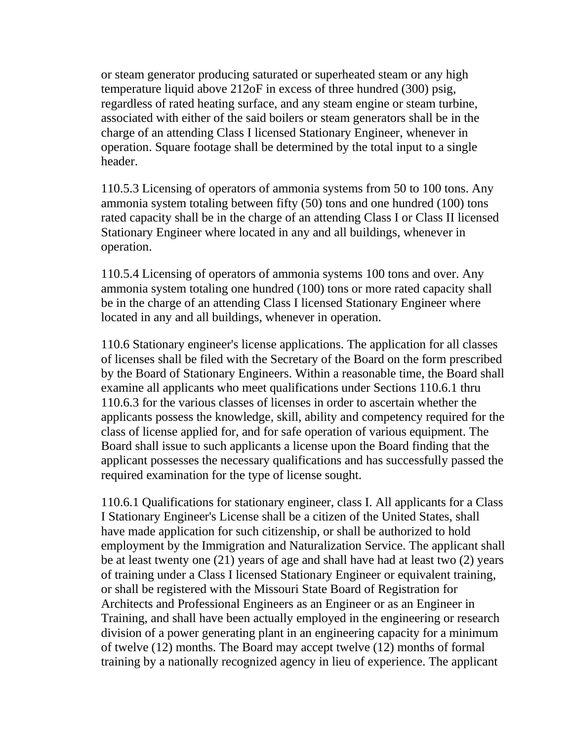or steam generator producing saturated or superheated steam or any high temperature liquid above 212oF in excess of three hundred (300) psig, regardless of rated heating surface, and any steam engine or steam turbine, associated with either of the said boilers or steam generators shall be in the charge of an attending Class I licensed Stationary Engineer, whenever in operation. Square footage shall be determined by the total input to a single header.

110.5.3 Licensing of operators of ammonia systems from 50 to 100 tons. Any ammonia system totaling between fifty (50) tons and one hundred (100) tons rated capacity shall be in the charge of an attending Class I or Class II licensed Stationary Engineer where located in any and all buildings, whenever in operation.

110.5.4 Licensing of operators of ammonia systems 100 tons and over. Any ammonia system totaling one hundred (100) tons or more rated capacity shall be in the charge of an attending Class I licensed Stationary Engineer where located in any and all buildings, whenever in operation.

110.6 Stationary engineer's license applications. The application for all classes of licenses shall be filed with the Secretary of the Board on the form prescribed by the Board of Stationary Engineers. Within a reasonable time, the Board shall examine all applicants who meet qualifications under Sections 110.6.1 thru 110.6.3 for the various classes of licenses in order to ascertain whether the applicants possess the knowledge, skill, ability and competency required for the class of license applied for, and for safe operation of various equipment. The Board shall issue to such applicants a license upon the Board finding that the applicant possesses the necessary qualifications and has successfully passed the required examination for the type of license sought.

110.6.1 Qualifications for stationary engineer, class I. All applicants for a Class I Stationary Engineer's License shall be a citizen of the United States, shall have made application for such citizenship, or shall be authorized to hold employment by the Immigration and Naturalization Service. The applicant shall be at least twenty one (21) years of age and shall have had at least two (2) years of training under a Class I licensed Stationary Engineer or equivalent training, or shall be registered with the Missouri State Board of Registration for Architects and Professional Engineers as an Engineer or as an Engineer in Training, and shall have been actually employed in the engineering or research division of a power generating plant in an engineering capacity for a minimum of twelve (12) months. The Board may accept twelve (12) months of formal training by a nationally recognized agency in lieu of experience. The applicant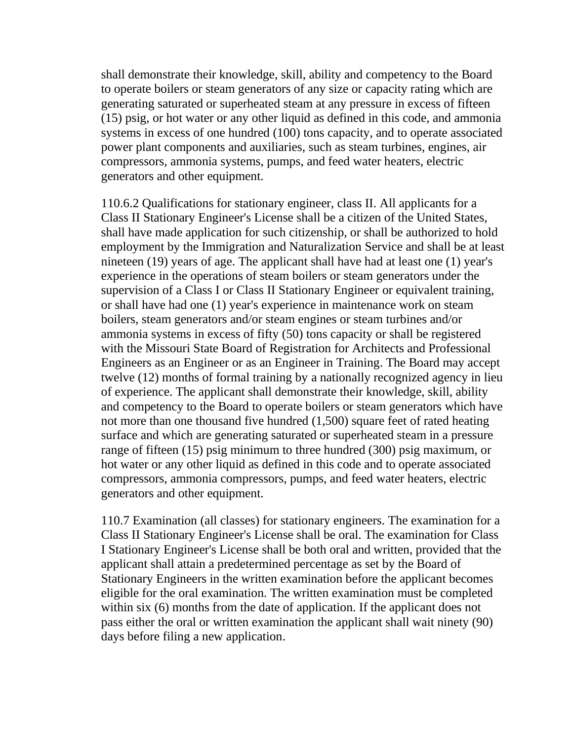shall demonstrate their knowledge, skill, ability and competency to the Board to operate boilers or steam generators of any size or capacity rating which are generating saturated or superheated steam at any pressure in excess of fifteen (15) psig, or hot water or any other liquid as defined in this code, and ammonia systems in excess of one hundred (100) tons capacity, and to operate associated power plant components and auxiliaries, such as steam turbines, engines, air compressors, ammonia systems, pumps, and feed water heaters, electric generators and other equipment.

110.6.2 Qualifications for stationary engineer, class II. All applicants for a Class II Stationary Engineer's License shall be a citizen of the United States, shall have made application for such citizenship, or shall be authorized to hold employment by the Immigration and Naturalization Service and shall be at least nineteen (19) years of age. The applicant shall have had at least one (1) year's experience in the operations of steam boilers or steam generators under the supervision of a Class I or Class II Stationary Engineer or equivalent training, or shall have had one (1) year's experience in maintenance work on steam boilers, steam generators and/or steam engines or steam turbines and/or ammonia systems in excess of fifty (50) tons capacity or shall be registered with the Missouri State Board of Registration for Architects and Professional Engineers as an Engineer or as an Engineer in Training. The Board may accept twelve (12) months of formal training by a nationally recognized agency in lieu of experience. The applicant shall demonstrate their knowledge, skill, ability and competency to the Board to operate boilers or steam generators which have not more than one thousand five hundred (1,500) square feet of rated heating surface and which are generating saturated or superheated steam in a pressure range of fifteen (15) psig minimum to three hundred (300) psig maximum, or hot water or any other liquid as defined in this code and to operate associated compressors, ammonia compressors, pumps, and feed water heaters, electric generators and other equipment.

110.7 Examination (all classes) for stationary engineers. The examination for a Class II Stationary Engineer's License shall be oral. The examination for Class I Stationary Engineer's License shall be both oral and written, provided that the applicant shall attain a predetermined percentage as set by the Board of Stationary Engineers in the written examination before the applicant becomes eligible for the oral examination. The written examination must be completed within six (6) months from the date of application. If the applicant does not pass either the oral or written examination the applicant shall wait ninety (90) days before filing a new application.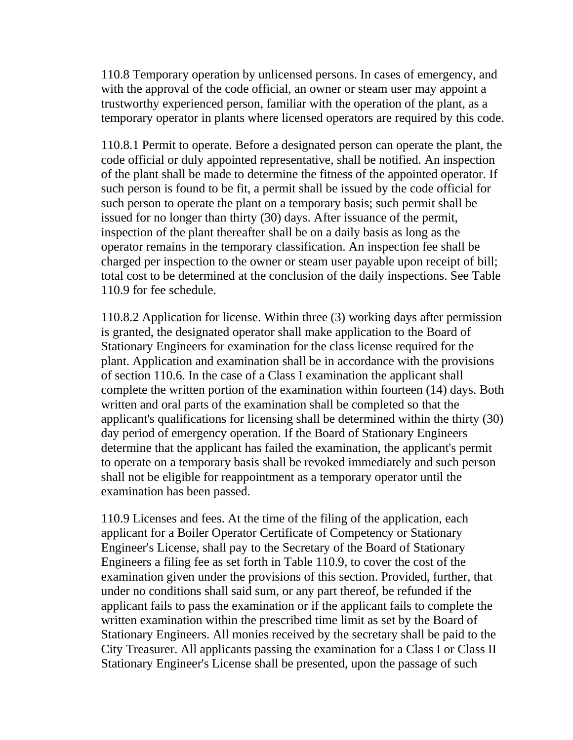110.8 Temporary operation by unlicensed persons. In cases of emergency, and with the approval of the code official, an owner or steam user may appoint a trustworthy experienced person, familiar with the operation of the plant, as a temporary operator in plants where licensed operators are required by this code.

110.8.1 Permit to operate. Before a designated person can operate the plant, the code official or duly appointed representative, shall be notified. An inspection of the plant shall be made to determine the fitness of the appointed operator. If such person is found to be fit, a permit shall be issued by the code official for such person to operate the plant on a temporary basis; such permit shall be issued for no longer than thirty (30) days. After issuance of the permit, inspection of the plant thereafter shall be on a daily basis as long as the operator remains in the temporary classification. An inspection fee shall be charged per inspection to the owner or steam user payable upon receipt of bill; total cost to be determined at the conclusion of the daily inspections. See Table 110.9 for fee schedule.

110.8.2 Application for license. Within three (3) working days after permission is granted, the designated operator shall make application to the Board of Stationary Engineers for examination for the class license required for the plant. Application and examination shall be in accordance with the provisions of section 110.6. In the case of a Class I examination the applicant shall complete the written portion of the examination within fourteen (14) days. Both written and oral parts of the examination shall be completed so that the applicant's qualifications for licensing shall be determined within the thirty (30) day period of emergency operation. If the Board of Stationary Engineers determine that the applicant has failed the examination, the applicant's permit to operate on a temporary basis shall be revoked immediately and such person shall not be eligible for reappointment as a temporary operator until the examination has been passed.

110.9 Licenses and fees. At the time of the filing of the application, each applicant for a Boiler Operator Certificate of Competency or Stationary Engineer's License, shall pay to the Secretary of the Board of Stationary Engineers a filing fee as set forth in Table 110.9, to cover the cost of the examination given under the provisions of this section. Provided, further, that under no conditions shall said sum, or any part thereof, be refunded if the applicant fails to pass the examination or if the applicant fails to complete the written examination within the prescribed time limit as set by the Board of Stationary Engineers. All monies received by the secretary shall be paid to the City Treasurer. All applicants passing the examination for a Class I or Class II Stationary Engineer's License shall be presented, upon the passage of such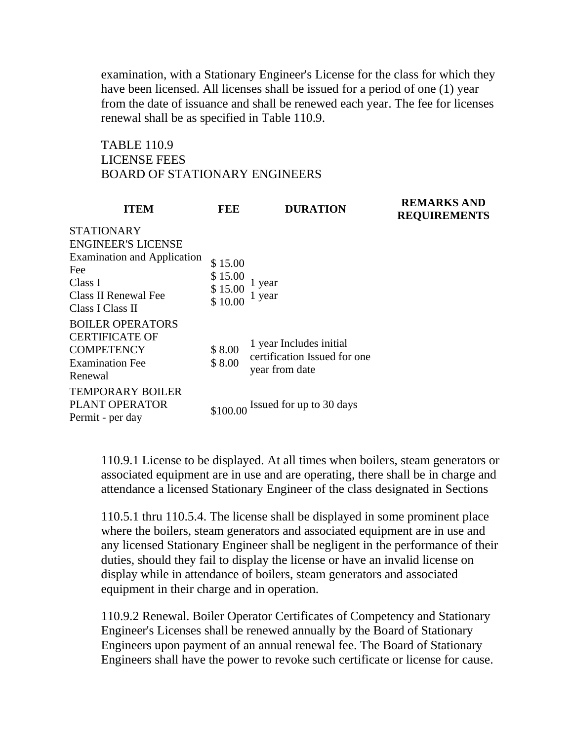examination, with a Stationary Engineer's License for the class for which they have been licensed. All licenses shall be issued for a period of one (1) year from the date of issuance and shall be renewed each year. The fee for licenses renewal shall be as specified in Table 110.9.

# TABLE 110.9 LICENSE FEES BOARD OF STATIONARY ENGINEERS

| <b>ITEM</b>                                                                                                                                               | <b>FEE</b>                               | <b>DURATION</b>                                                           | <b>REMARKS AND</b><br><b>REQUIREMENTS</b> |
|-----------------------------------------------------------------------------------------------------------------------------------------------------------|------------------------------------------|---------------------------------------------------------------------------|-------------------------------------------|
| <b>STATIONARY</b><br><b>ENGINEER'S LICENSE</b><br><b>Examination and Application</b><br>Fee<br>Class I<br><b>Class II Renewal Fee</b><br>Class I Class II | \$15.00<br>\$15.00<br>\$15.00<br>\$10.00 | 1 year<br>1 year                                                          |                                           |
| <b>BOILER OPERATORS</b><br><b>CERTIFICATE OF</b><br><b>COMPETENCY</b><br><b>Examination Fee</b><br>Renewal                                                | \$8.00<br>\$8.00                         | 1 year Includes initial<br>certification Issued for one<br>year from date |                                           |
| <b>TEMPORARY BOILER</b><br><b>PLANT OPERATOR</b><br>Permit - per day                                                                                      | \$100.00                                 | Issued for up to 30 days                                                  |                                           |

110.9.1 License to be displayed. At all times when boilers, steam generators or associated equipment are in use and are operating, there shall be in charge and attendance a licensed Stationary Engineer of the class designated in Sections

110.5.1 thru 110.5.4. The license shall be displayed in some prominent place where the boilers, steam generators and associated equipment are in use and any licensed Stationary Engineer shall be negligent in the performance of their duties, should they fail to display the license or have an invalid license on display while in attendance of boilers, steam generators and associated equipment in their charge and in operation.

110.9.2 Renewal. Boiler Operator Certificates of Competency and Stationary Engineer's Licenses shall be renewed annually by the Board of Stationary Engineers upon payment of an annual renewal fee. The Board of Stationary Engineers shall have the power to revoke such certificate or license for cause.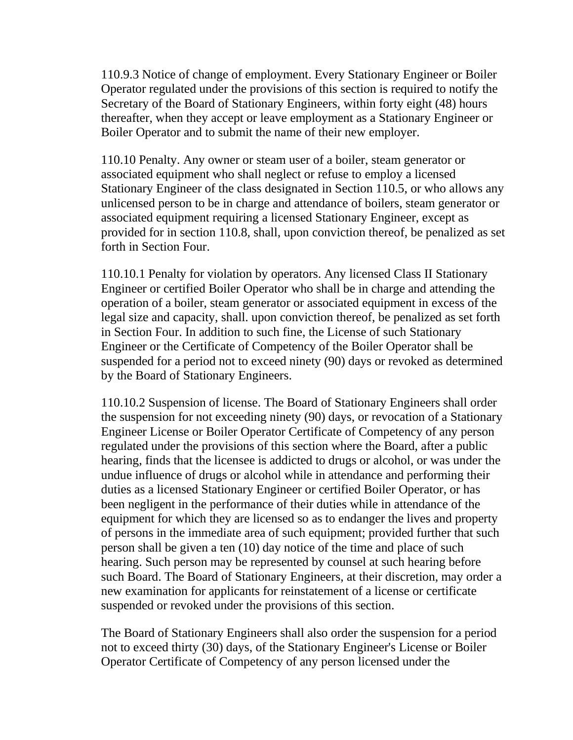110.9.3 Notice of change of employment. Every Stationary Engineer or Boiler Operator regulated under the provisions of this section is required to notify the Secretary of the Board of Stationary Engineers, within forty eight (48) hours thereafter, when they accept or leave employment as a Stationary Engineer or Boiler Operator and to submit the name of their new employer.

110.10 Penalty. Any owner or steam user of a boiler, steam generator or associated equipment who shall neglect or refuse to employ a licensed Stationary Engineer of the class designated in Section 110.5, or who allows any unlicensed person to be in charge and attendance of boilers, steam generator or associated equipment requiring a licensed Stationary Engineer, except as provided for in section 110.8, shall, upon conviction thereof, be penalized as set forth in Section Four.

110.10.1 Penalty for violation by operators. Any licensed Class II Stationary Engineer or certified Boiler Operator who shall be in charge and attending the operation of a boiler, steam generator or associated equipment in excess of the legal size and capacity, shall. upon conviction thereof, be penalized as set forth in Section Four. In addition to such fine, the License of such Stationary Engineer or the Certificate of Competency of the Boiler Operator shall be suspended for a period not to exceed ninety (90) days or revoked as determined by the Board of Stationary Engineers.

110.10.2 Suspension of license. The Board of Stationary Engineers shall order the suspension for not exceeding ninety (90) days, or revocation of a Stationary Engineer License or Boiler Operator Certificate of Competency of any person regulated under the provisions of this section where the Board, after a public hearing, finds that the licensee is addicted to drugs or alcohol, or was under the undue influence of drugs or alcohol while in attendance and performing their duties as a licensed Stationary Engineer or certified Boiler Operator, or has been negligent in the performance of their duties while in attendance of the equipment for which they are licensed so as to endanger the lives and property of persons in the immediate area of such equipment; provided further that such person shall be given a ten (10) day notice of the time and place of such hearing. Such person may be represented by counsel at such hearing before such Board. The Board of Stationary Engineers, at their discretion, may order a new examination for applicants for reinstatement of a license or certificate suspended or revoked under the provisions of this section.

The Board of Stationary Engineers shall also order the suspension for a period not to exceed thirty (30) days, of the Stationary Engineer's License or Boiler Operator Certificate of Competency of any person licensed under the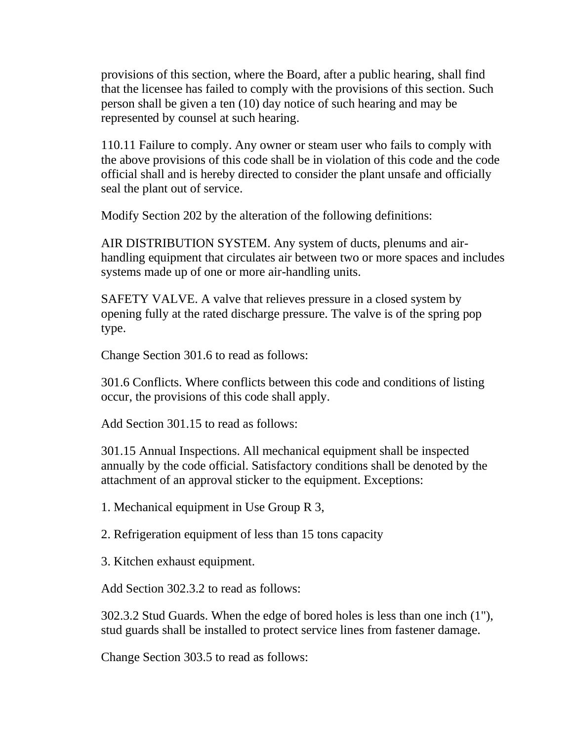provisions of this section, where the Board, after a public hearing, shall find that the licensee has failed to comply with the provisions of this section. Such person shall be given a ten (10) day notice of such hearing and may be represented by counsel at such hearing.

110.11 Failure to comply. Any owner or steam user who fails to comply with the above provisions of this code shall be in violation of this code and the code official shall and is hereby directed to consider the plant unsafe and officially seal the plant out of service.

Modify Section 202 by the alteration of the following definitions:

AIR DISTRIBUTION SYSTEM. Any system of ducts, plenums and airhandling equipment that circulates air between two or more spaces and includes systems made up of one or more air-handling units.

SAFETY VALVE. A valve that relieves pressure in a closed system by opening fully at the rated discharge pressure. The valve is of the spring pop type.

Change Section 301.6 to read as follows:

301.6 Conflicts. Where conflicts between this code and conditions of listing occur, the provisions of this code shall apply.

Add Section 301.15 to read as follows:

301.15 Annual Inspections. All mechanical equipment shall be inspected annually by the code official. Satisfactory conditions shall be denoted by the attachment of an approval sticker to the equipment. Exceptions:

1. Mechanical equipment in Use Group R 3,

2. Refrigeration equipment of less than 15 tons capacity

3. Kitchen exhaust equipment.

Add Section 302.3.2 to read as follows:

302.3.2 Stud Guards. When the edge of bored holes is less than one inch (1"), stud guards shall be installed to protect service lines from fastener damage.

Change Section 303.5 to read as follows: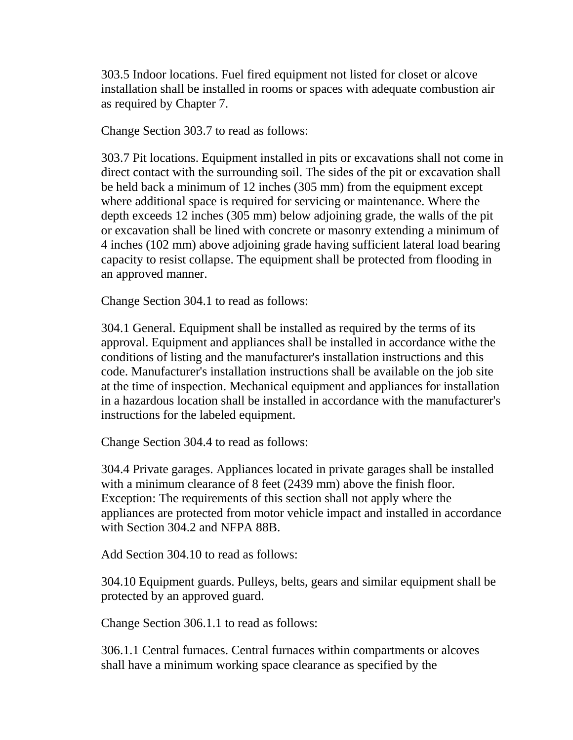303.5 Indoor locations. Fuel fired equipment not listed for closet or alcove installation shall be installed in rooms or spaces with adequate combustion air as required by Chapter 7.

Change Section 303.7 to read as follows:

303.7 Pit locations. Equipment installed in pits or excavations shall not come in direct contact with the surrounding soil. The sides of the pit or excavation shall be held back a minimum of 12 inches (305 mm) from the equipment except where additional space is required for servicing or maintenance. Where the depth exceeds 12 inches (305 mm) below adjoining grade, the walls of the pit or excavation shall be lined with concrete or masonry extending a minimum of 4 inches (102 mm) above adjoining grade having sufficient lateral load bearing capacity to resist collapse. The equipment shall be protected from flooding in an approved manner.

Change Section 304.1 to read as follows:

304.1 General. Equipment shall be installed as required by the terms of its approval. Equipment and appliances shall be installed in accordance withe the conditions of listing and the manufacturer's installation instructions and this code. Manufacturer's installation instructions shall be available on the job site at the time of inspection. Mechanical equipment and appliances for installation in a hazardous location shall be installed in accordance with the manufacturer's instructions for the labeled equipment.

Change Section 304.4 to read as follows:

304.4 Private garages. Appliances located in private garages shall be installed with a minimum clearance of 8 feet (2439 mm) above the finish floor. Exception: The requirements of this section shall not apply where the appliances are protected from motor vehicle impact and installed in accordance with Section 304.2 and NFPA 88B.

Add Section 304.10 to read as follows:

304.10 Equipment guards. Pulleys, belts, gears and similar equipment shall be protected by an approved guard.

Change Section 306.1.1 to read as follows:

306.1.1 Central furnaces. Central furnaces within compartments or alcoves shall have a minimum working space clearance as specified by the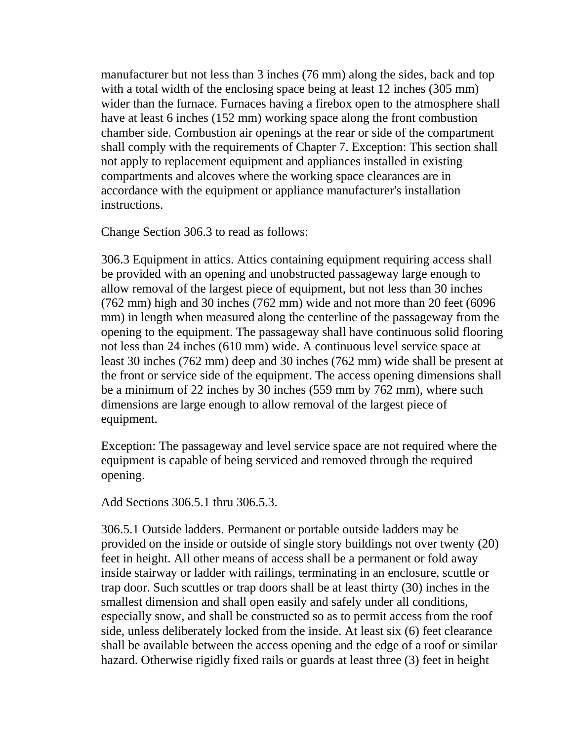manufacturer but not less than 3 inches (76 mm) along the sides, back and top with a total width of the enclosing space being at least 12 inches (305 mm) wider than the furnace. Furnaces having a firebox open to the atmosphere shall have at least 6 inches (152 mm) working space along the front combustion chamber side. Combustion air openings at the rear or side of the compartment shall comply with the requirements of Chapter 7. Exception: This section shall not apply to replacement equipment and appliances installed in existing compartments and alcoves where the working space clearances are in accordance with the equipment or appliance manufacturer's installation instructions.

Change Section 306.3 to read as follows:

306.3 Equipment in attics. Attics containing equipment requiring access shall be provided with an opening and unobstructed passageway large enough to allow removal of the largest piece of equipment, but not less than 30 inches (762 mm) high and 30 inches (762 mm) wide and not more than 20 feet (6096 mm) in length when measured along the centerline of the passageway from the opening to the equipment. The passageway shall have continuous solid flooring not less than 24 inches (610 mm) wide. A continuous level service space at least 30 inches (762 mm) deep and 30 inches (762 mm) wide shall be present at the front or service side of the equipment. The access opening dimensions shall be a minimum of 22 inches by 30 inches (559 mm by 762 mm), where such dimensions are large enough to allow removal of the largest piece of equipment.

Exception: The passageway and level service space are not required where the equipment is capable of being serviced and removed through the required opening.

Add Sections 306.5.1 thru 306.5.3.

306.5.1 Outside ladders. Permanent or portable outside ladders may be provided on the inside or outside of single story buildings not over twenty (20) feet in height. All other means of access shall be a permanent or fold away inside stairway or ladder with railings, terminating in an enclosure, scuttle or trap door. Such scuttles or trap doors shall be at least thirty (30) inches in the smallest dimension and shall open easily and safely under all conditions, especially snow, and shall be constructed so as to permit access from the roof side, unless deliberately locked from the inside. At least six (6) feet clearance shall be available between the access opening and the edge of a roof or similar hazard. Otherwise rigidly fixed rails or guards at least three (3) feet in height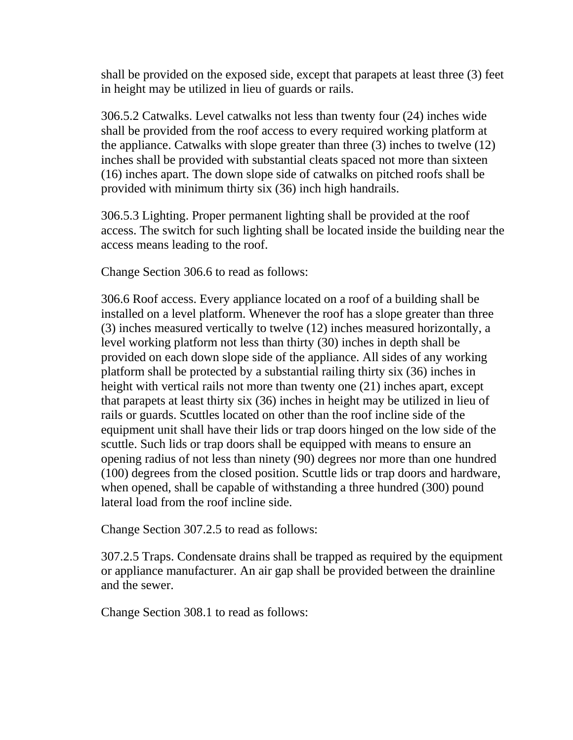shall be provided on the exposed side, except that parapets at least three (3) feet in height may be utilized in lieu of guards or rails.

306.5.2 Catwalks. Level catwalks not less than twenty four (24) inches wide shall be provided from the roof access to every required working platform at the appliance. Catwalks with slope greater than three (3) inches to twelve (12) inches shall be provided with substantial cleats spaced not more than sixteen (16) inches apart. The down slope side of catwalks on pitched roofs shall be provided with minimum thirty six (36) inch high handrails.

306.5.3 Lighting. Proper permanent lighting shall be provided at the roof access. The switch for such lighting shall be located inside the building near the access means leading to the roof.

Change Section 306.6 to read as follows:

306.6 Roof access. Every appliance located on a roof of a building shall be installed on a level platform. Whenever the roof has a slope greater than three (3) inches measured vertically to twelve (12) inches measured horizontally, a level working platform not less than thirty (30) inches in depth shall be provided on each down slope side of the appliance. All sides of any working platform shall be protected by a substantial railing thirty six (36) inches in height with vertical rails not more than twenty one (21) inches apart, except that parapets at least thirty six (36) inches in height may be utilized in lieu of rails or guards. Scuttles located on other than the roof incline side of the equipment unit shall have their lids or trap doors hinged on the low side of the scuttle. Such lids or trap doors shall be equipped with means to ensure an opening radius of not less than ninety (90) degrees nor more than one hundred (100) degrees from the closed position. Scuttle lids or trap doors and hardware, when opened, shall be capable of withstanding a three hundred (300) pound lateral load from the roof incline side.

Change Section 307.2.5 to read as follows:

307.2.5 Traps. Condensate drains shall be trapped as required by the equipment or appliance manufacturer. An air gap shall be provided between the drainline and the sewer.

Change Section 308.1 to read as follows: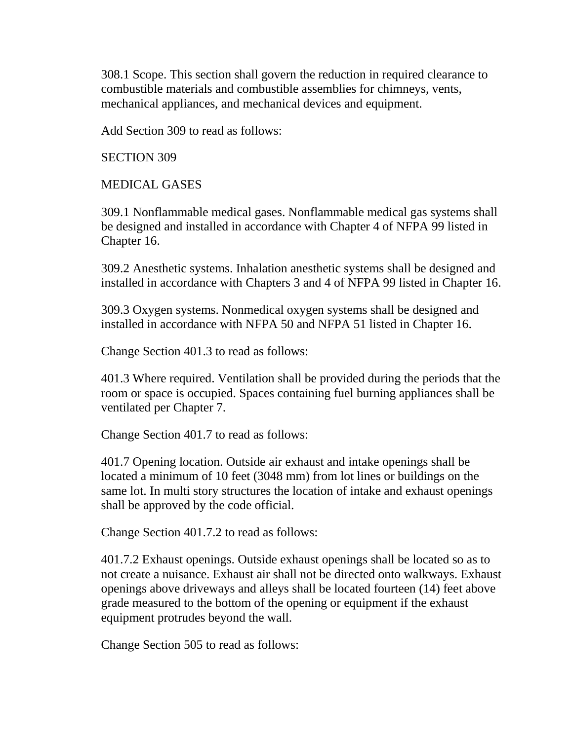308.1 Scope. This section shall govern the reduction in required clearance to combustible materials and combustible assemblies for chimneys, vents, mechanical appliances, and mechanical devices and equipment.

Add Section 309 to read as follows:

SECTION 309

### MEDICAL GASES

309.1 Nonflammable medical gases. Nonflammable medical gas systems shall be designed and installed in accordance with Chapter 4 of NFPA 99 listed in Chapter 16.

309.2 Anesthetic systems. Inhalation anesthetic systems shall be designed and installed in accordance with Chapters 3 and 4 of NFPA 99 listed in Chapter 16.

309.3 Oxygen systems. Nonmedical oxygen systems shall be designed and installed in accordance with NFPA 50 and NFPA 51 listed in Chapter 16.

Change Section 401.3 to read as follows:

401.3 Where required. Ventilation shall be provided during the periods that the room or space is occupied. Spaces containing fuel burning appliances shall be ventilated per Chapter 7.

Change Section 401.7 to read as follows:

401.7 Opening location. Outside air exhaust and intake openings shall be located a minimum of 10 feet (3048 mm) from lot lines or buildings on the same lot. In multi story structures the location of intake and exhaust openings shall be approved by the code official.

Change Section 401.7.2 to read as follows:

401.7.2 Exhaust openings. Outside exhaust openings shall be located so as to not create a nuisance. Exhaust air shall not be directed onto walkways. Exhaust openings above driveways and alleys shall be located fourteen (14) feet above grade measured to the bottom of the opening or equipment if the exhaust equipment protrudes beyond the wall.

Change Section 505 to read as follows: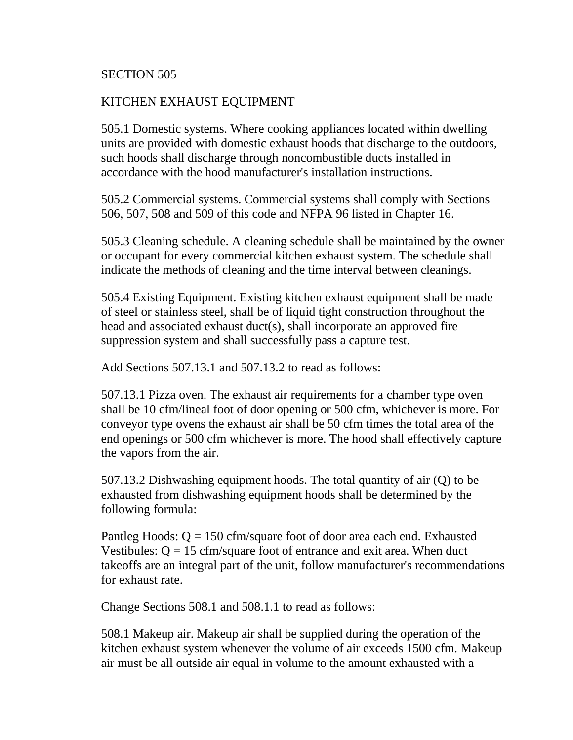#### SECTION 505

# KITCHEN EXHAUST EQUIPMENT

505.1 Domestic systems. Where cooking appliances located within dwelling units are provided with domestic exhaust hoods that discharge to the outdoors, such hoods shall discharge through noncombustible ducts installed in accordance with the hood manufacturer's installation instructions.

505.2 Commercial systems. Commercial systems shall comply with Sections 506, 507, 508 and 509 of this code and NFPA 96 listed in Chapter 16.

505.3 Cleaning schedule. A cleaning schedule shall be maintained by the owner or occupant for every commercial kitchen exhaust system. The schedule shall indicate the methods of cleaning and the time interval between cleanings.

505.4 Existing Equipment. Existing kitchen exhaust equipment shall be made of steel or stainless steel, shall be of liquid tight construction throughout the head and associated exhaust duct(s), shall incorporate an approved fire suppression system and shall successfully pass a capture test.

Add Sections 507.13.1 and 507.13.2 to read as follows:

507.13.1 Pizza oven. The exhaust air requirements for a chamber type oven shall be 10 cfm/lineal foot of door opening or 500 cfm, whichever is more. For conveyor type ovens the exhaust air shall be 50 cfm times the total area of the end openings or 500 cfm whichever is more. The hood shall effectively capture the vapors from the air.

507.13.2 Dishwashing equipment hoods. The total quantity of air (Q) to be exhausted from dishwashing equipment hoods shall be determined by the following formula:

Pantleg Hoods:  $Q = 150$  cfm/square foot of door area each end. Exhausted Vestibules:  $Q = 15$  cfm/square foot of entrance and exit area. When duct takeoffs are an integral part of the unit, follow manufacturer's recommendations for exhaust rate.

Change Sections 508.1 and 508.1.1 to read as follows:

508.1 Makeup air. Makeup air shall be supplied during the operation of the kitchen exhaust system whenever the volume of air exceeds 1500 cfm. Makeup air must be all outside air equal in volume to the amount exhausted with a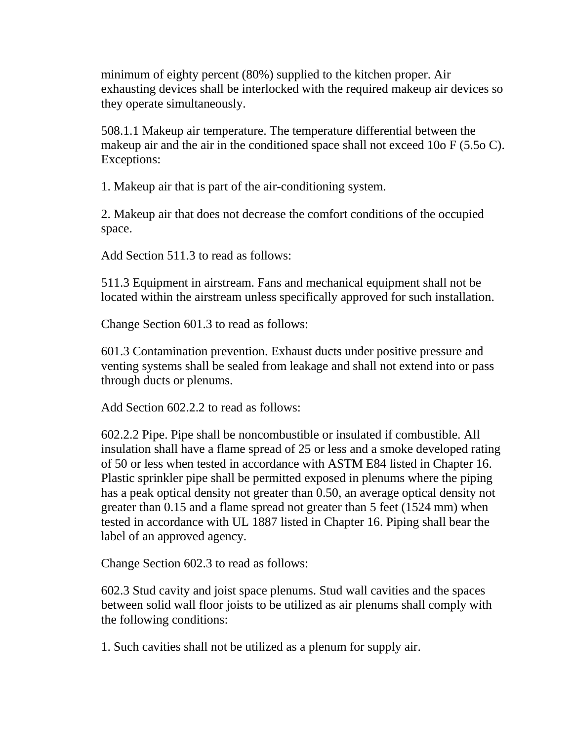minimum of eighty percent (80%) supplied to the kitchen proper. Air exhausting devices shall be interlocked with the required makeup air devices so they operate simultaneously.

508.1.1 Makeup air temperature. The temperature differential between the makeup air and the air in the conditioned space shall not exceed 10o F (5.5o C). Exceptions:

1. Makeup air that is part of the air-conditioning system.

2. Makeup air that does not decrease the comfort conditions of the occupied space.

Add Section 511.3 to read as follows:

511.3 Equipment in airstream. Fans and mechanical equipment shall not be located within the airstream unless specifically approved for such installation.

Change Section 601.3 to read as follows:

601.3 Contamination prevention. Exhaust ducts under positive pressure and venting systems shall be sealed from leakage and shall not extend into or pass through ducts or plenums.

Add Section 602.2.2 to read as follows:

602.2.2 Pipe. Pipe shall be noncombustible or insulated if combustible. All insulation shall have a flame spread of 25 or less and a smoke developed rating of 50 or less when tested in accordance with ASTM E84 listed in Chapter 16. Plastic sprinkler pipe shall be permitted exposed in plenums where the piping has a peak optical density not greater than 0.50, an average optical density not greater than 0.15 and a flame spread not greater than 5 feet (1524 mm) when tested in accordance with UL 1887 listed in Chapter 16. Piping shall bear the label of an approved agency.

Change Section 602.3 to read as follows:

602.3 Stud cavity and joist space plenums. Stud wall cavities and the spaces between solid wall floor joists to be utilized as air plenums shall comply with the following conditions:

1. Such cavities shall not be utilized as a plenum for supply air.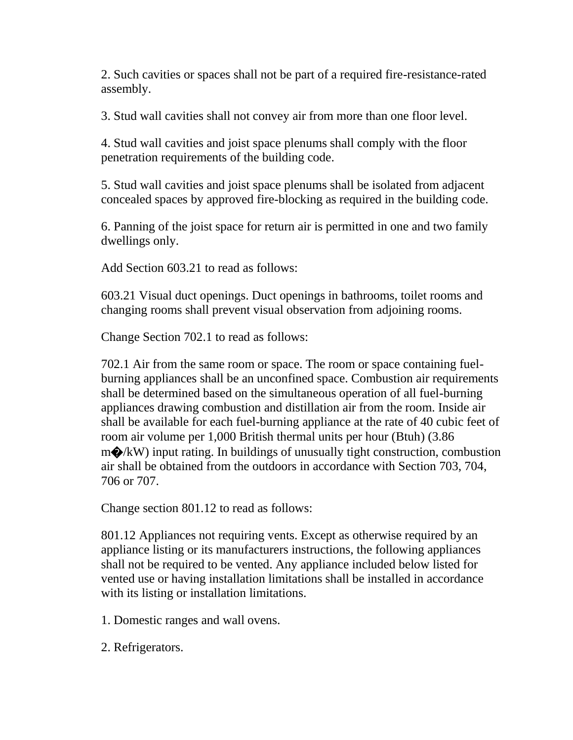2. Such cavities or spaces shall not be part of a required fire-resistance-rated assembly.

3. Stud wall cavities shall not convey air from more than one floor level.

4. Stud wall cavities and joist space plenums shall comply with the floor penetration requirements of the building code.

5. Stud wall cavities and joist space plenums shall be isolated from adjacent concealed spaces by approved fire-blocking as required in the building code.

6. Panning of the joist space for return air is permitted in one and two family dwellings only.

Add Section 603.21 to read as follows:

603.21 Visual duct openings. Duct openings in bathrooms, toilet rooms and changing rooms shall prevent visual observation from adjoining rooms.

Change Section 702.1 to read as follows:

702.1 Air from the same room or space. The room or space containing fuelburning appliances shall be an unconfined space. Combustion air requirements shall be determined based on the simultaneous operation of all fuel-burning appliances drawing combustion and distillation air from the room. Inside air shall be available for each fuel-burning appliance at the rate of 40 cubic feet of room air volume per 1,000 British thermal units per hour (Btuh) (3.86 m�/kW) input rating. In buildings of unusually tight construction, combustion air shall be obtained from the outdoors in accordance with Section 703, 704, 706 or 707.

Change section 801.12 to read as follows:

801.12 Appliances not requiring vents. Except as otherwise required by an appliance listing or its manufacturers instructions, the following appliances shall not be required to be vented. Any appliance included below listed for vented use or having installation limitations shall be installed in accordance with its listing or installation limitations.

1. Domestic ranges and wall ovens.

2. Refrigerators.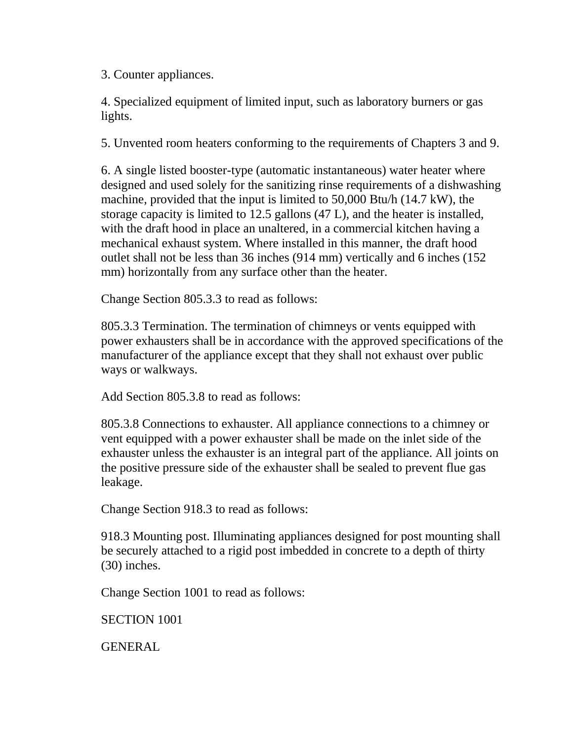3. Counter appliances.

4. Specialized equipment of limited input, such as laboratory burners or gas lights.

5. Unvented room heaters conforming to the requirements of Chapters 3 and 9.

6. A single listed booster-type (automatic instantaneous) water heater where designed and used solely for the sanitizing rinse requirements of a dishwashing machine, provided that the input is limited to 50,000 Btu/h (14.7 kW), the storage capacity is limited to 12.5 gallons (47 L), and the heater is installed, with the draft hood in place an unaltered, in a commercial kitchen having a mechanical exhaust system. Where installed in this manner, the draft hood outlet shall not be less than 36 inches (914 mm) vertically and 6 inches (152 mm) horizontally from any surface other than the heater.

Change Section 805.3.3 to read as follows:

805.3.3 Termination. The termination of chimneys or vents equipped with power exhausters shall be in accordance with the approved specifications of the manufacturer of the appliance except that they shall not exhaust over public ways or walkways.

Add Section 805.3.8 to read as follows:

805.3.8 Connections to exhauster. All appliance connections to a chimney or vent equipped with a power exhauster shall be made on the inlet side of the exhauster unless the exhauster is an integral part of the appliance. All joints on the positive pressure side of the exhauster shall be sealed to prevent flue gas leakage.

Change Section 918.3 to read as follows:

918.3 Mounting post. Illuminating appliances designed for post mounting shall be securely attached to a rigid post imbedded in concrete to a depth of thirty (30) inches.

Change Section 1001 to read as follows:

SECTION 1001

GENERAL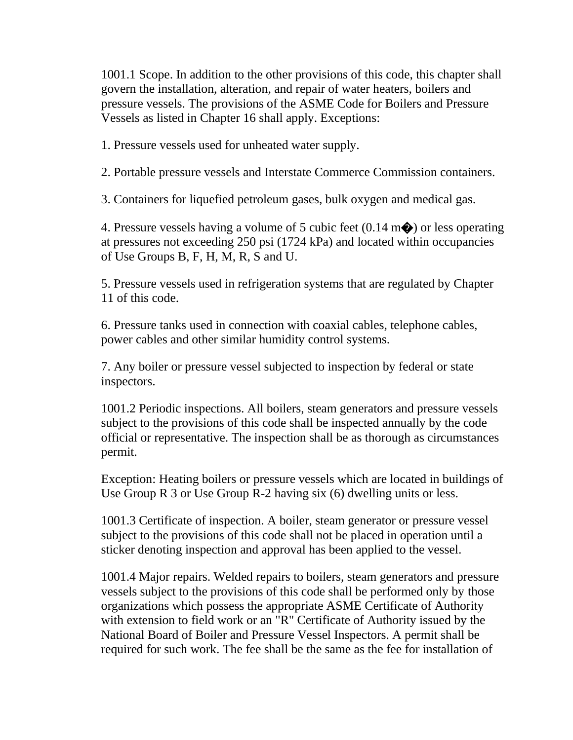1001.1 Scope. In addition to the other provisions of this code, this chapter shall govern the installation, alteration, and repair of water heaters, boilers and pressure vessels. The provisions of the ASME Code for Boilers and Pressure Vessels as listed in Chapter 16 shall apply. Exceptions:

1. Pressure vessels used for unheated water supply.

2. Portable pressure vessels and Interstate Commerce Commission containers.

3. Containers for liquefied petroleum gases, bulk oxygen and medical gas.

4. Pressure vessels having a volume of 5 cubic feet  $(0.14 \text{ m} \cdot \bullet)$  or less operating at pressures not exceeding 250 psi (1724 kPa) and located within occupancies of Use Groups B, F, H, M, R, S and U.

5. Pressure vessels used in refrigeration systems that are regulated by Chapter 11 of this code.

6. Pressure tanks used in connection with coaxial cables, telephone cables, power cables and other similar humidity control systems.

7. Any boiler or pressure vessel subjected to inspection by federal or state inspectors.

1001.2 Periodic inspections. All boilers, steam generators and pressure vessels subject to the provisions of this code shall be inspected annually by the code official or representative. The inspection shall be as thorough as circumstances permit.

Exception: Heating boilers or pressure vessels which are located in buildings of Use Group R 3 or Use Group R-2 having six (6) dwelling units or less.

1001.3 Certificate of inspection. A boiler, steam generator or pressure vessel subject to the provisions of this code shall not be placed in operation until a sticker denoting inspection and approval has been applied to the vessel.

1001.4 Major repairs. Welded repairs to boilers, steam generators and pressure vessels subject to the provisions of this code shall be performed only by those organizations which possess the appropriate ASME Certificate of Authority with extension to field work or an "R" Certificate of Authority issued by the National Board of Boiler and Pressure Vessel Inspectors. A permit shall be required for such work. The fee shall be the same as the fee for installation of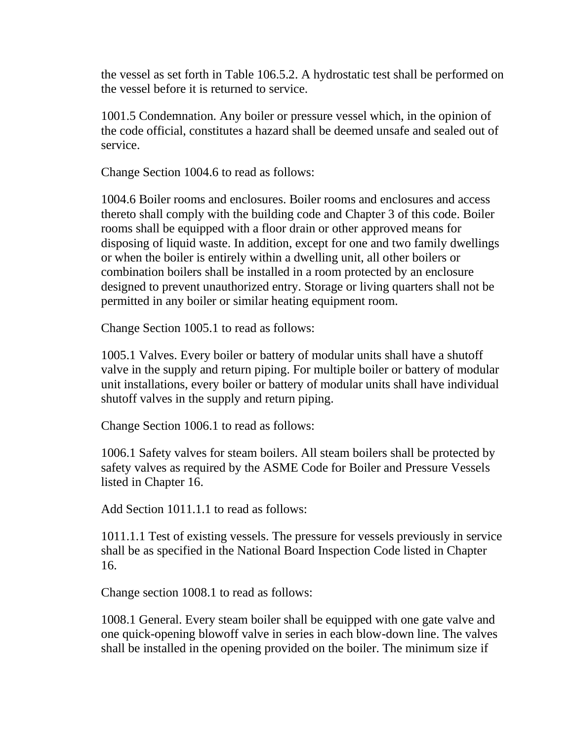the vessel as set forth in Table 106.5.2. A hydrostatic test shall be performed on the vessel before it is returned to service.

1001.5 Condemnation. Any boiler or pressure vessel which, in the opinion of the code official, constitutes a hazard shall be deemed unsafe and sealed out of service.

Change Section 1004.6 to read as follows:

1004.6 Boiler rooms and enclosures. Boiler rooms and enclosures and access thereto shall comply with the building code and Chapter 3 of this code. Boiler rooms shall be equipped with a floor drain or other approved means for disposing of liquid waste. In addition, except for one and two family dwellings or when the boiler is entirely within a dwelling unit, all other boilers or combination boilers shall be installed in a room protected by an enclosure designed to prevent unauthorized entry. Storage or living quarters shall not be permitted in any boiler or similar heating equipment room.

Change Section 1005.1 to read as follows:

1005.1 Valves. Every boiler or battery of modular units shall have a shutoff valve in the supply and return piping. For multiple boiler or battery of modular unit installations, every boiler or battery of modular units shall have individual shutoff valves in the supply and return piping.

Change Section 1006.1 to read as follows:

1006.1 Safety valves for steam boilers. All steam boilers shall be protected by safety valves as required by the ASME Code for Boiler and Pressure Vessels listed in Chapter 16.

Add Section 1011.1.1 to read as follows:

1011.1.1 Test of existing vessels. The pressure for vessels previously in service shall be as specified in the National Board Inspection Code listed in Chapter 16.

Change section 1008.1 to read as follows:

1008.1 General. Every steam boiler shall be equipped with one gate valve and one quick-opening blowoff valve in series in each blow-down line. The valves shall be installed in the opening provided on the boiler. The minimum size if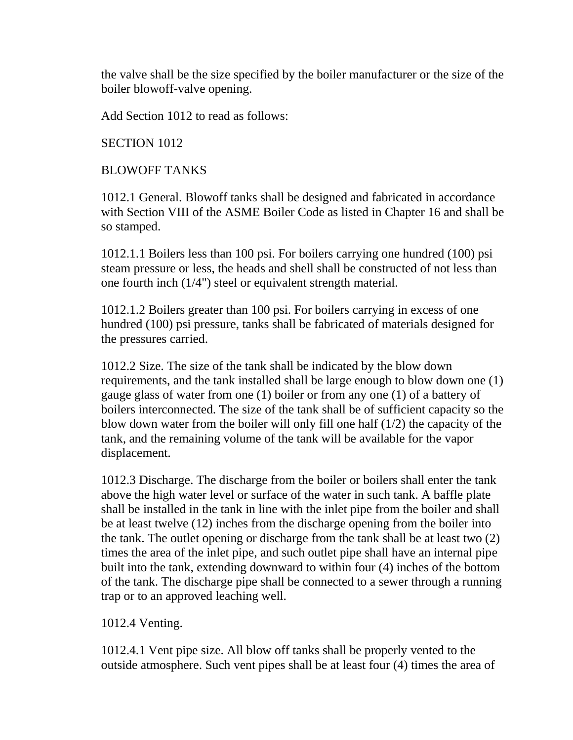the valve shall be the size specified by the boiler manufacturer or the size of the boiler blowoff-valve opening.

Add Section 1012 to read as follows:

SECTION 1012

# BLOWOFF TANKS

1012.1 General. Blowoff tanks shall be designed and fabricated in accordance with Section VIII of the ASME Boiler Code as listed in Chapter 16 and shall be so stamped.

1012.1.1 Boilers less than 100 psi. For boilers carrying one hundred (100) psi steam pressure or less, the heads and shell shall be constructed of not less than one fourth inch (1/4") steel or equivalent strength material.

1012.1.2 Boilers greater than 100 psi. For boilers carrying in excess of one hundred (100) psi pressure, tanks shall be fabricated of materials designed for the pressures carried.

1012.2 Size. The size of the tank shall be indicated by the blow down requirements, and the tank installed shall be large enough to blow down one (1) gauge glass of water from one (1) boiler or from any one (1) of a battery of boilers interconnected. The size of the tank shall be of sufficient capacity so the blow down water from the boiler will only fill one half (1/2) the capacity of the tank, and the remaining volume of the tank will be available for the vapor displacement.

1012.3 Discharge. The discharge from the boiler or boilers shall enter the tank above the high water level or surface of the water in such tank. A baffle plate shall be installed in the tank in line with the inlet pipe from the boiler and shall be at least twelve (12) inches from the discharge opening from the boiler into the tank. The outlet opening or discharge from the tank shall be at least two (2) times the area of the inlet pipe, and such outlet pipe shall have an internal pipe built into the tank, extending downward to within four (4) inches of the bottom of the tank. The discharge pipe shall be connected to a sewer through a running trap or to an approved leaching well.

1012.4 Venting.

1012.4.1 Vent pipe size. All blow off tanks shall be properly vented to the outside atmosphere. Such vent pipes shall be at least four (4) times the area of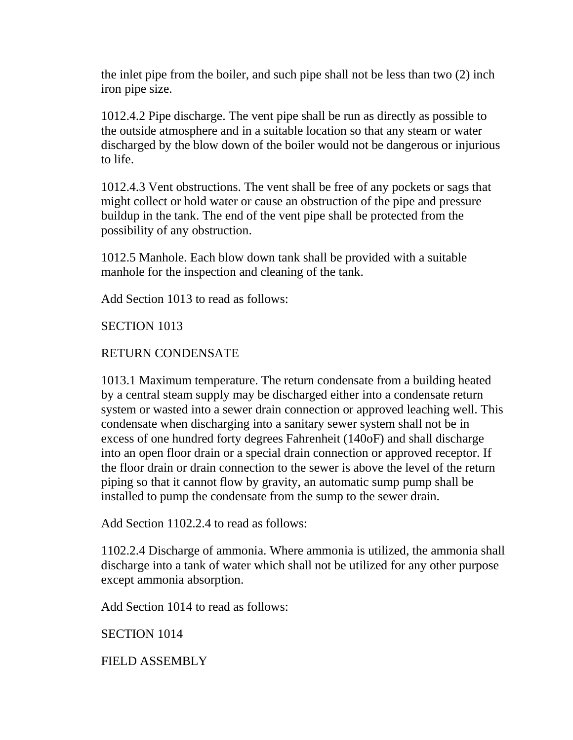the inlet pipe from the boiler, and such pipe shall not be less than two (2) inch iron pipe size.

1012.4.2 Pipe discharge. The vent pipe shall be run as directly as possible to the outside atmosphere and in a suitable location so that any steam or water discharged by the blow down of the boiler would not be dangerous or injurious to life.

1012.4.3 Vent obstructions. The vent shall be free of any pockets or sags that might collect or hold water or cause an obstruction of the pipe and pressure buildup in the tank. The end of the vent pipe shall be protected from the possibility of any obstruction.

1012.5 Manhole. Each blow down tank shall be provided with a suitable manhole for the inspection and cleaning of the tank.

Add Section 1013 to read as follows:

# SECTION 1013

# RETURN CONDENSATE

1013.1 Maximum temperature. The return condensate from a building heated by a central steam supply may be discharged either into a condensate return system or wasted into a sewer drain connection or approved leaching well. This condensate when discharging into a sanitary sewer system shall not be in excess of one hundred forty degrees Fahrenheit (140oF) and shall discharge into an open floor drain or a special drain connection or approved receptor. If the floor drain or drain connection to the sewer is above the level of the return piping so that it cannot flow by gravity, an automatic sump pump shall be installed to pump the condensate from the sump to the sewer drain.

Add Section 1102.2.4 to read as follows:

1102.2.4 Discharge of ammonia. Where ammonia is utilized, the ammonia shall discharge into a tank of water which shall not be utilized for any other purpose except ammonia absorption.

Add Section 1014 to read as follows:

SECTION 1014

FIELD ASSEMBLY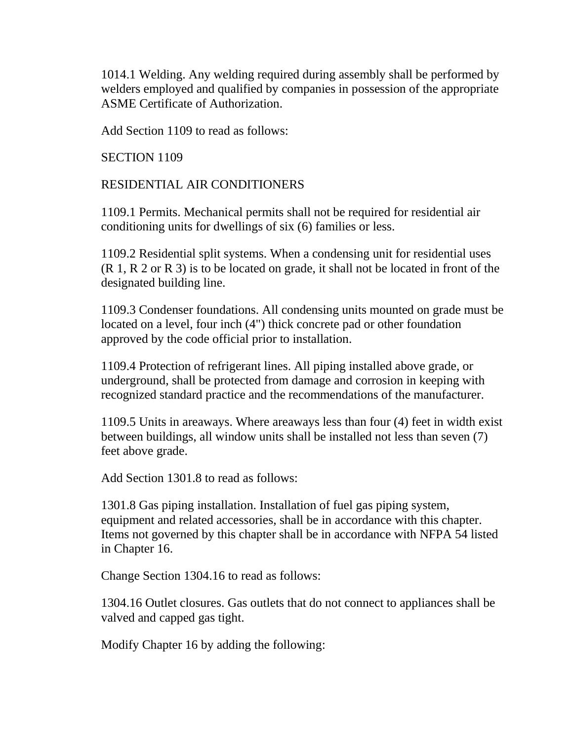1014.1 Welding. Any welding required during assembly shall be performed by welders employed and qualified by companies in possession of the appropriate ASME Certificate of Authorization.

Add Section 1109 to read as follows:

SECTION 1109

RESIDENTIAL AIR CONDITIONERS

1109.1 Permits. Mechanical permits shall not be required for residential air conditioning units for dwellings of six (6) families or less.

1109.2 Residential split systems. When a condensing unit for residential uses (R 1, R 2 or R 3) is to be located on grade, it shall not be located in front of the designated building line.

1109.3 Condenser foundations. All condensing units mounted on grade must be located on a level, four inch (4") thick concrete pad or other foundation approved by the code official prior to installation.

1109.4 Protection of refrigerant lines. All piping installed above grade, or underground, shall be protected from damage and corrosion in keeping with recognized standard practice and the recommendations of the manufacturer.

1109.5 Units in areaways. Where areaways less than four (4) feet in width exist between buildings, all window units shall be installed not less than seven (7) feet above grade.

Add Section 1301.8 to read as follows:

1301.8 Gas piping installation. Installation of fuel gas piping system, equipment and related accessories, shall be in accordance with this chapter. Items not governed by this chapter shall be in accordance with NFPA 54 listed in Chapter 16.

Change Section 1304.16 to read as follows:

1304.16 Outlet closures. Gas outlets that do not connect to appliances shall be valved and capped gas tight.

Modify Chapter 16 by adding the following: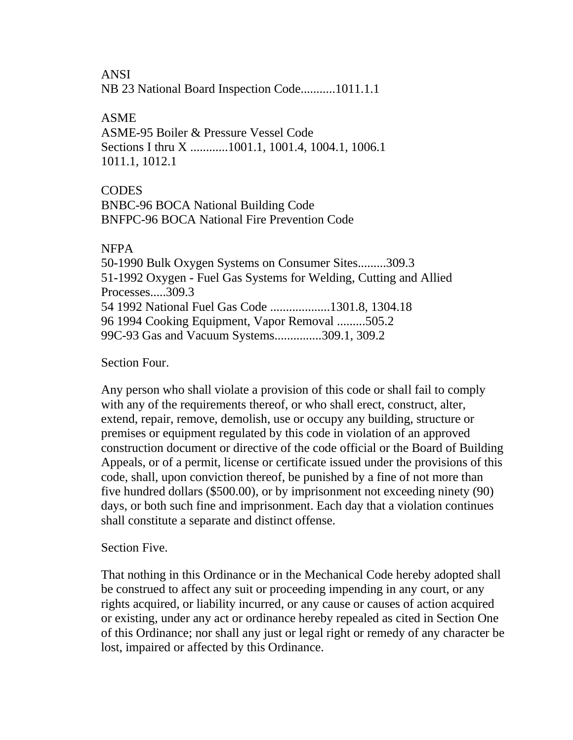### ANSI

NB 23 National Board Inspection Code...........1011.1.1

### ASME

ASME-95 Boiler & Pressure Vessel Code Sections I thru X ............1001.1, 1001.4, 1004.1, 1006.1 1011.1, 1012.1

### **CODES**

BNBC-96 BOCA National Building Code BNFPC-96 BOCA National Fire Prevention Code

### NFPA

50-1990 Bulk Oxygen Systems on Consumer Sites.........309.3 51-1992 Oxygen - Fuel Gas Systems for Welding, Cutting and Allied Processes.....309.3 54 1992 National Fuel Gas Code ...................1301.8, 1304.18 96 1994 Cooking Equipment, Vapor Removal .........505.2 99C-93 Gas and Vacuum Systems...............309.1, 309.2

Section Four.

Any person who shall violate a provision of this code or shall fail to comply with any of the requirements thereof, or who shall erect, construct, alter, extend, repair, remove, demolish, use or occupy any building, structure or premises or equipment regulated by this code in violation of an approved construction document or directive of the code official or the Board of Building Appeals, or of a permit, license or certificate issued under the provisions of this code, shall, upon conviction thereof, be punished by a fine of not more than five hundred dollars (\$500.00), or by imprisonment not exceeding ninety (90) days, or both such fine and imprisonment. Each day that a violation continues shall constitute a separate and distinct offense.

### Section Five.

That nothing in this Ordinance or in the Mechanical Code hereby adopted shall be construed to affect any suit or proceeding impending in any court, or any rights acquired, or liability incurred, or any cause or causes of action acquired or existing, under any act or ordinance hereby repealed as cited in Section One of this Ordinance; nor shall any just or legal right or remedy of any character be lost, impaired or affected by this Ordinance.